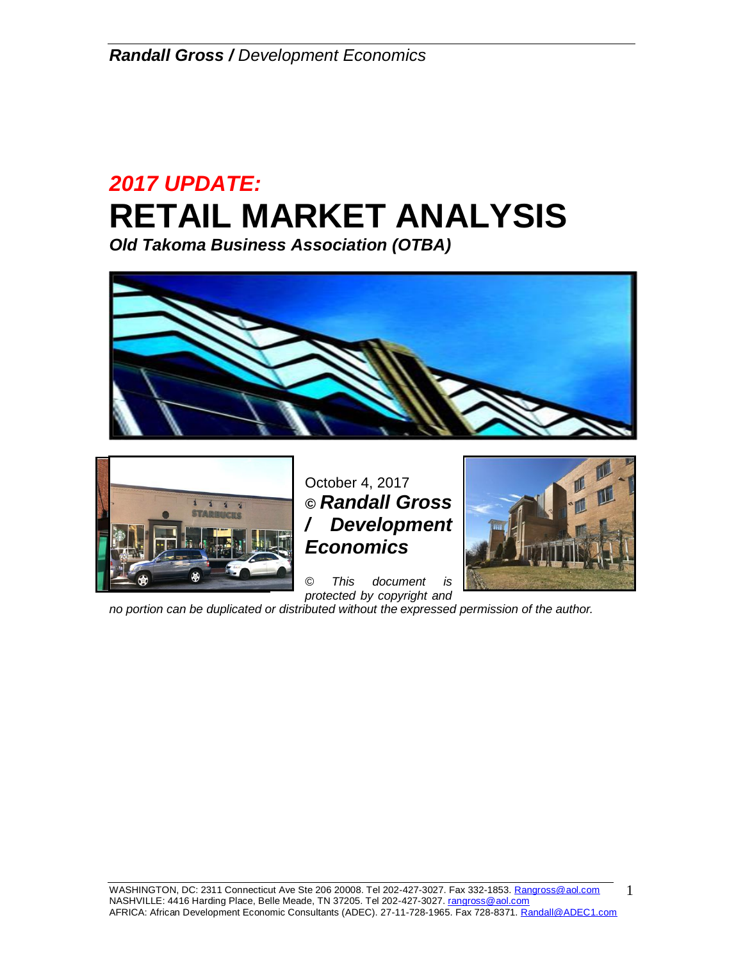# *2017 UPDATE:* **RETAIL MARKET ANALYSIS**

*Old Takoma Business Association (OTBA)*





October 4, 2017 *© Randall Gross / Development Economics*

*© This document is protected by copyright and* 



*no portion can be duplicated or distributed without the expressed permission of the author.* 

1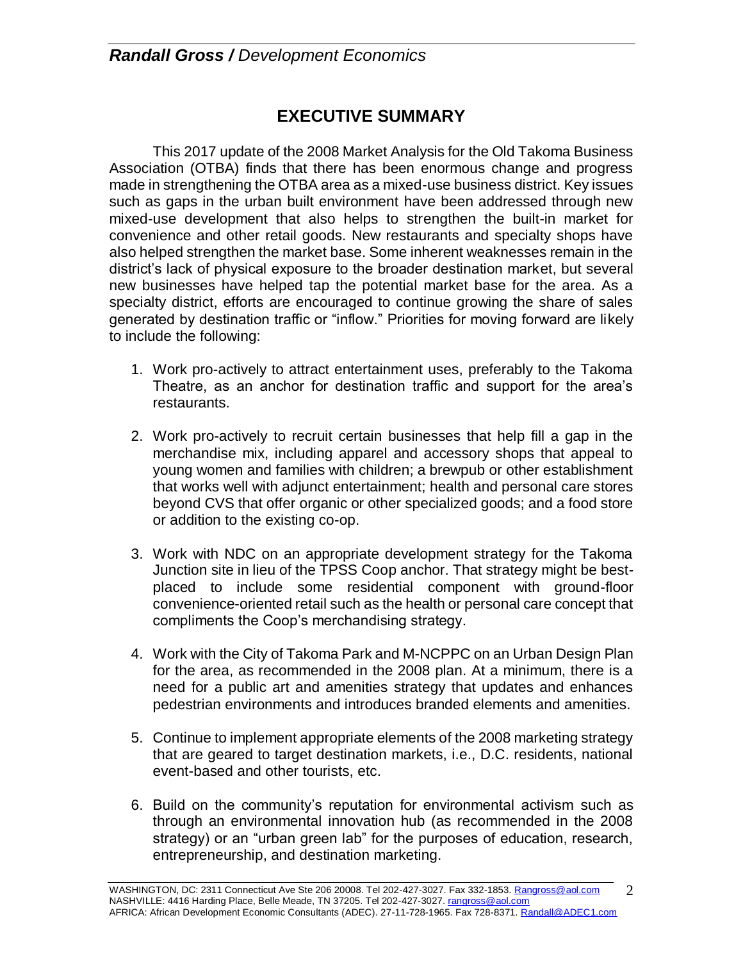# **EXECUTIVE SUMMARY**

This 2017 update of the 2008 Market Analysis for the Old Takoma Business Association (OTBA) finds that there has been enormous change and progress made in strengthening the OTBA area as a mixed-use business district. Key issues such as gaps in the urban built environment have been addressed through new mixed-use development that also helps to strengthen the built-in market for convenience and other retail goods. New restaurants and specialty shops have also helped strengthen the market base. Some inherent weaknesses remain in the district's lack of physical exposure to the broader destination market, but several new businesses have helped tap the potential market base for the area. As a specialty district, efforts are encouraged to continue growing the share of sales generated by destination traffic or "inflow." Priorities for moving forward are likely to include the following:

- 1. Work pro-actively to attract entertainment uses, preferably to the Takoma Theatre, as an anchor for destination traffic and support for the area's restaurants.
- 2. Work pro-actively to recruit certain businesses that help fill a gap in the merchandise mix, including apparel and accessory shops that appeal to young women and families with children; a brewpub or other establishment that works well with adjunct entertainment; health and personal care stores beyond CVS that offer organic or other specialized goods; and a food store or addition to the existing co-op.
- 3. Work with NDC on an appropriate development strategy for the Takoma Junction site in lieu of the TPSS Coop anchor. That strategy might be bestplaced to include some residential component with ground-floor convenience-oriented retail such as the health or personal care concept that compliments the Coop's merchandising strategy.
- 4. Work with the City of Takoma Park and M-NCPPC on an Urban Design Plan for the area, as recommended in the 2008 plan. At a minimum, there is a need for a public art and amenities strategy that updates and enhances pedestrian environments and introduces branded elements and amenities.
- 5. Continue to implement appropriate elements of the 2008 marketing strategy that are geared to target destination markets, i.e., D.C. residents, national event-based and other tourists, etc.
- 6. Build on the community's reputation for environmental activism such as through an environmental innovation hub (as recommended in the 2008 strategy) or an "urban green lab" for the purposes of education, research, entrepreneurship, and destination marketing.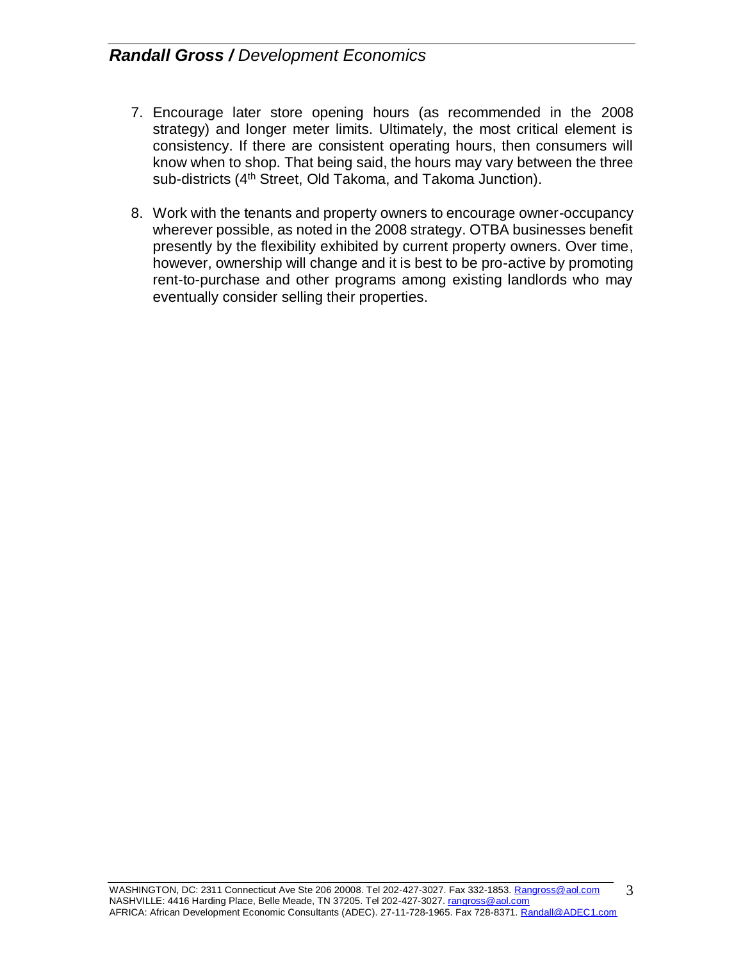- 7. Encourage later store opening hours (as recommended in the 2008 strategy) and longer meter limits. Ultimately, the most critical element is consistency. If there are consistent operating hours, then consumers will know when to shop. That being said, the hours may vary between the three sub-districts (4<sup>th</sup> Street, Old Takoma, and Takoma Junction).
- 8. Work with the tenants and property owners to encourage owner-occupancy wherever possible, as noted in the 2008 strategy. OTBA businesses benefit presently by the flexibility exhibited by current property owners. Over time, however, ownership will change and it is best to be pro-active by promoting rent-to-purchase and other programs among existing landlords who may eventually consider selling their properties.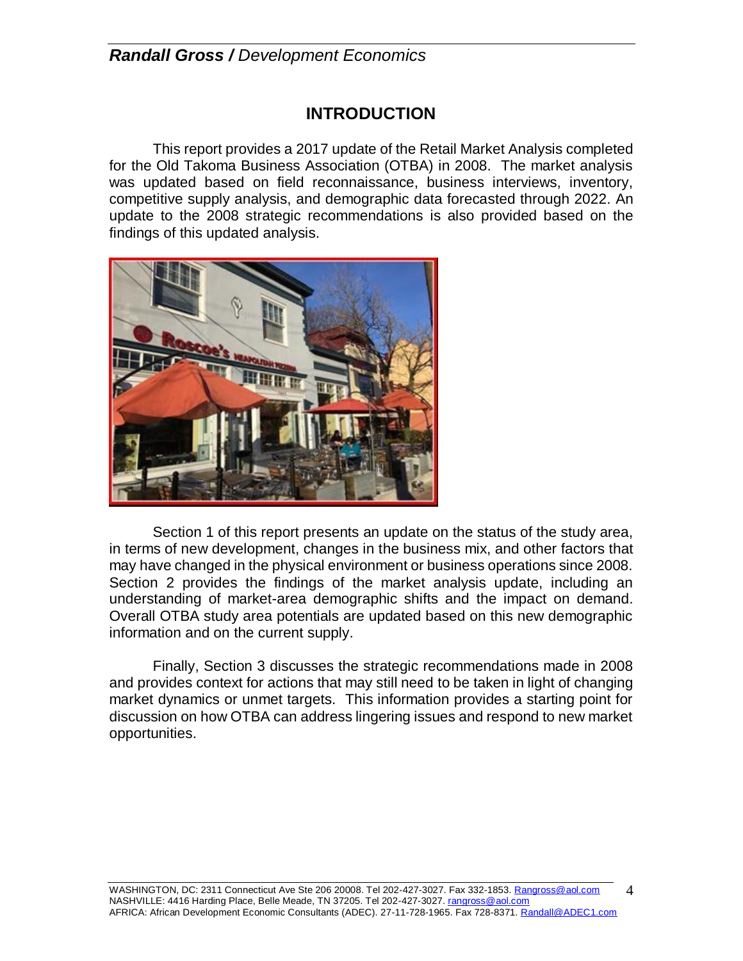### **INTRODUCTION**

This report provides a 2017 update of the Retail Market Analysis completed for the Old Takoma Business Association (OTBA) in 2008. The market analysis was updated based on field reconnaissance, business interviews, inventory, competitive supply analysis, and demographic data forecasted through 2022. An update to the 2008 strategic recommendations is also provided based on the findings of this updated analysis.



Section 1 of this report presents an update on the status of the study area, in terms of new development, changes in the business mix, and other factors that may have changed in the physical environment or business operations since 2008. Section 2 provides the findings of the market analysis update, including an understanding of market-area demographic shifts and the impact on demand. Overall OTBA study area potentials are updated based on this new demographic information and on the current supply.

Finally, Section 3 discusses the strategic recommendations made in 2008 and provides context for actions that may still need to be taken in light of changing market dynamics or unmet targets. This information provides a starting point for discussion on how OTBA can address lingering issues and respond to new market opportunities.

4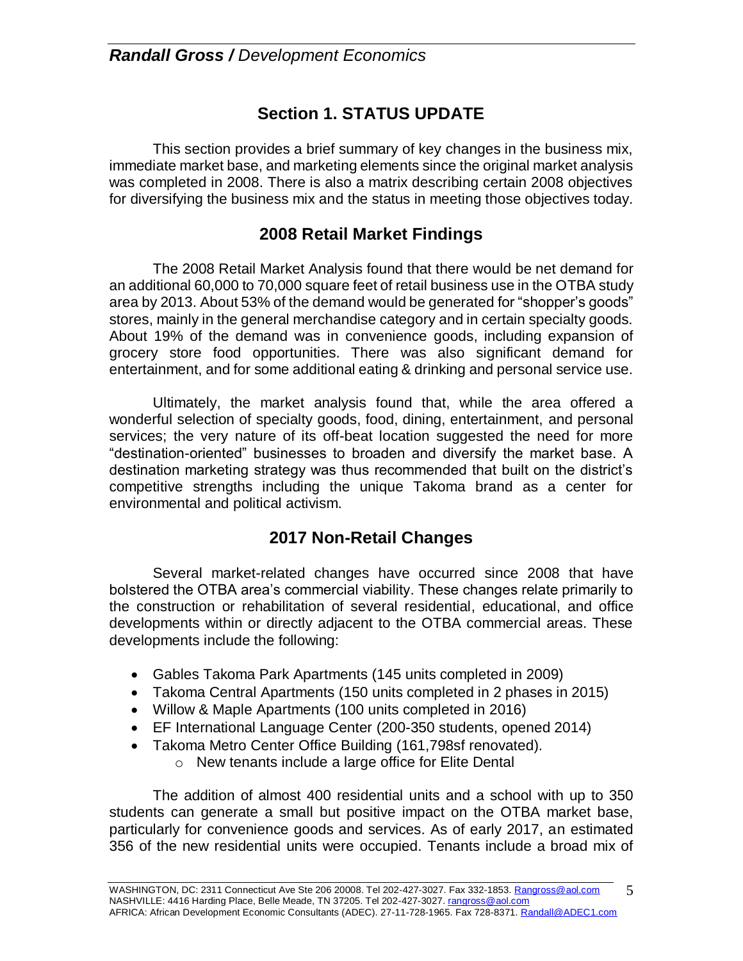# **Section 1. STATUS UPDATE**

This section provides a brief summary of key changes in the business mix, immediate market base, and marketing elements since the original market analysis was completed in 2008. There is also a matrix describing certain 2008 objectives for diversifying the business mix and the status in meeting those objectives today.

### **2008 Retail Market Findings**

The 2008 Retail Market Analysis found that there would be net demand for an additional 60,000 to 70,000 square feet of retail business use in the OTBA study area by 2013. About 53% of the demand would be generated for "shopper's goods" stores, mainly in the general merchandise category and in certain specialty goods. About 19% of the demand was in convenience goods, including expansion of grocery store food opportunities. There was also significant demand for entertainment, and for some additional eating & drinking and personal service use.

Ultimately, the market analysis found that, while the area offered a wonderful selection of specialty goods, food, dining, entertainment, and personal services; the very nature of its off-beat location suggested the need for more "destination-oriented" businesses to broaden and diversify the market base. A destination marketing strategy was thus recommended that built on the district's competitive strengths including the unique Takoma brand as a center for environmental and political activism.

### **2017 Non-Retail Changes**

Several market-related changes have occurred since 2008 that have bolstered the OTBA area's commercial viability. These changes relate primarily to the construction or rehabilitation of several residential, educational, and office developments within or directly adjacent to the OTBA commercial areas. These developments include the following:

- Gables Takoma Park Apartments (145 units completed in 2009)
- Takoma Central Apartments (150 units completed in 2 phases in 2015)
- Willow & Maple Apartments (100 units completed in 2016)
- EF International Language Center (200-350 students, opened 2014)
- Takoma Metro Center Office Building (161,798sf renovated).
	- o New tenants include a large office for Elite Dental

The addition of almost 400 residential units and a school with up to 350 students can generate a small but positive impact on the OTBA market base, particularly for convenience goods and services. As of early 2017, an estimated 356 of the new residential units were occupied. Tenants include a broad mix of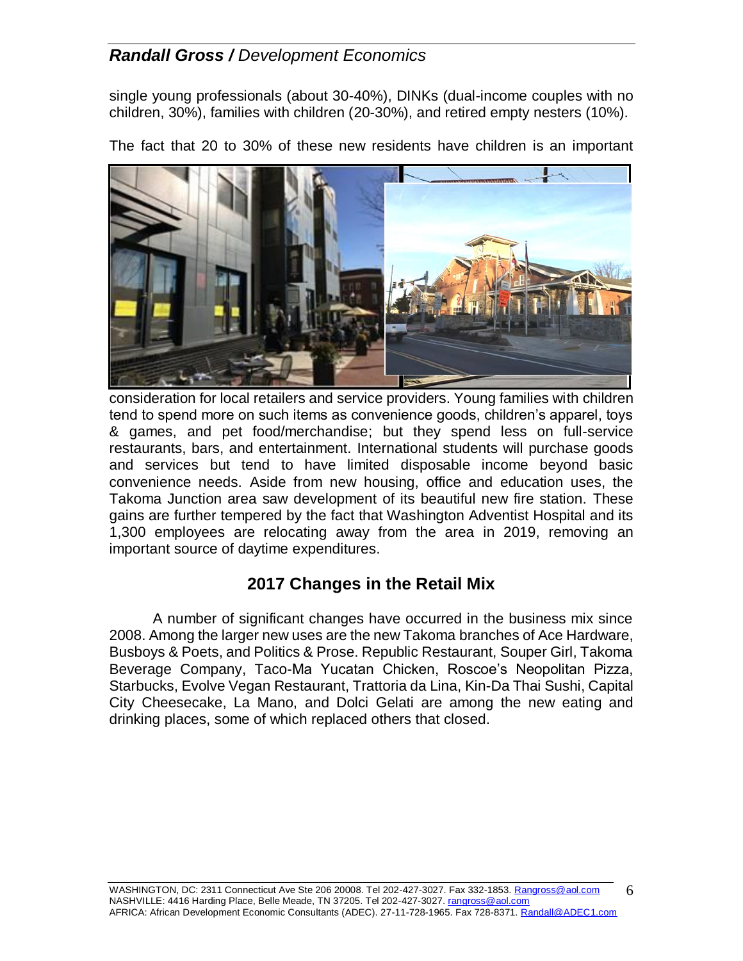single young professionals (about 30-40%), DINKs (dual-income couples with no children, 30%), families with children (20-30%), and retired empty nesters (10%).

The fact that 20 to 30% of these new residents have children is an important



consideration for local retailers and service providers. Young families with children tend to spend more on such items as convenience goods, children's apparel, toys & games, and pet food/merchandise; but they spend less on full-service restaurants, bars, and entertainment. International students will purchase goods and services but tend to have limited disposable income beyond basic convenience needs. Aside from new housing, office and education uses, the Takoma Junction area saw development of its beautiful new fire station. These gains are further tempered by the fact that Washington Adventist Hospital and its 1,300 employees are relocating away from the area in 2019, removing an important source of daytime expenditures.

### **2017 Changes in the Retail Mix**

A number of significant changes have occurred in the business mix since 2008. Among the larger new uses are the new Takoma branches of Ace Hardware, Busboys & Poets, and Politics & Prose. Republic Restaurant, Souper Girl, Takoma Beverage Company, Taco-Ma Yucatan Chicken, Roscoe's Neopolitan Pizza, Starbucks, Evolve Vegan Restaurant, Trattoria da Lina, Kin-Da Thai Sushi, Capital City Cheesecake, La Mano, and Dolci Gelati are among the new eating and drinking places, some of which replaced others that closed.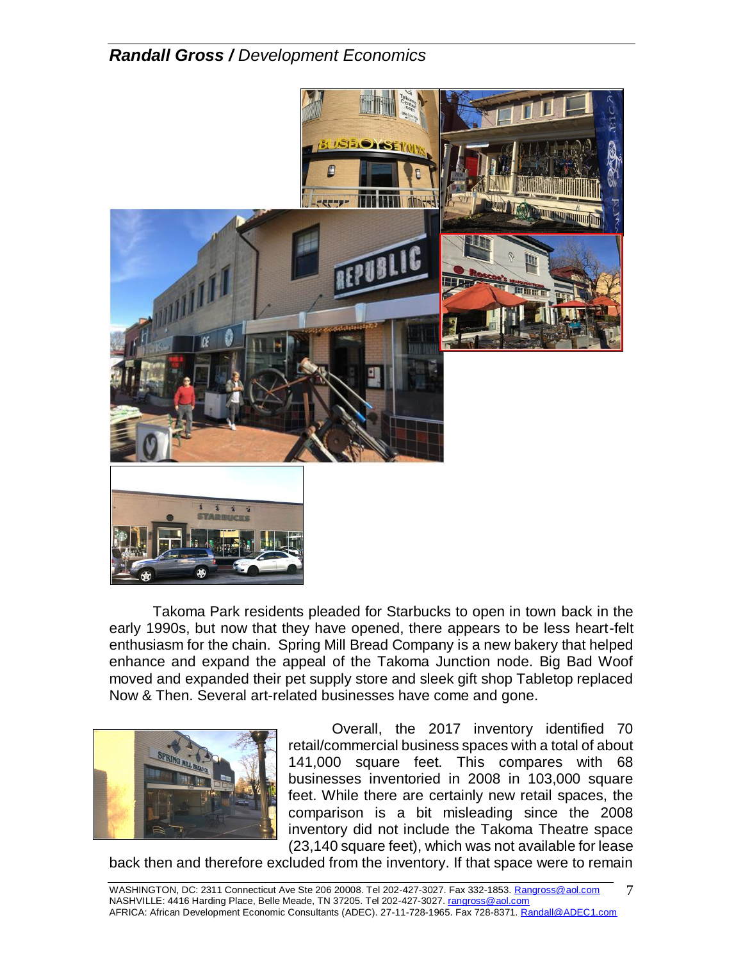

Takoma Park residents pleaded for Starbucks to open in town back in the early 1990s, but now that they have opened, there appears to be less heart-felt enthusiasm for the chain. Spring Mill Bread Company is a new bakery that helped enhance and expand the appeal of the Takoma Junction node. Big Bad Woof moved and expanded their pet supply store and sleek gift shop Tabletop replaced Now & Then. Several art-related businesses have come and gone.



Overall, the 2017 inventory identified 70 retail/commercial business spaces with a total of about 141,000 square feet. This compares with 68 businesses inventoried in 2008 in 103,000 square feet. While there are certainly new retail spaces, the comparison is a bit misleading since the 2008 inventory did not include the Takoma Theatre space (23,140 square feet), which was not available for lease

back then and therefore excluded from the inventory. If that space were to remain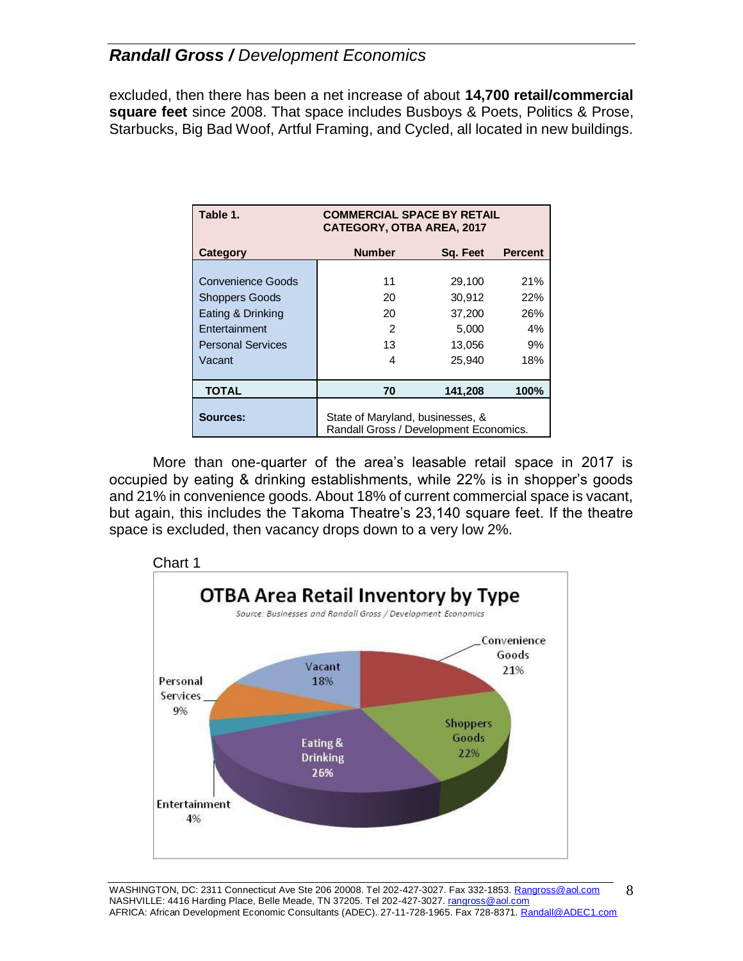excluded, then there has been a net increase of about **14,700 retail/commercial square feet** since 2008. That space includes Busboys & Poets, Politics & Prose, Starbucks, Big Bad Woof, Artful Framing, and Cycled, all located in new buildings.

| Table 1.                                          | <b>COMMERCIAL SPACE BY RETAIL</b><br><b>CATEGORY, OTBA AREA, 2017</b>      |                  |                |  |
|---------------------------------------------------|----------------------------------------------------------------------------|------------------|----------------|--|
| Category                                          | <b>Number</b>                                                              | Sq. Feet         | <b>Percent</b> |  |
| <b>Convenience Goods</b><br><b>Shoppers Goods</b> | 11<br>20                                                                   | 29,100<br>30,912 | 21%<br>22%     |  |
| Eating & Drinking                                 | 20                                                                         | 37,200           | 26%            |  |
| Entertainment<br><b>Personal Services</b>         | 2<br>13                                                                    | 5.000<br>13,056  | 4%<br>9%       |  |
| Vacant                                            | 4                                                                          | 25,940           | 18%            |  |
| <b>TOTAL</b>                                      | 70                                                                         | 141,208          | 100%           |  |
| Sources:                                          | State of Maryland, businesses, &<br>Randall Gross / Development Economics. |                  |                |  |

More than one-quarter of the area's leasable retail space in 2017 is occupied by eating & drinking establishments, while 22% is in shopper's goods and 21% in convenience goods. About 18% of current commercial space is vacant, but again, this includes the Takoma Theatre's 23,140 square feet. If the theatre space is excluded, then vacancy drops down to a very low 2%.



8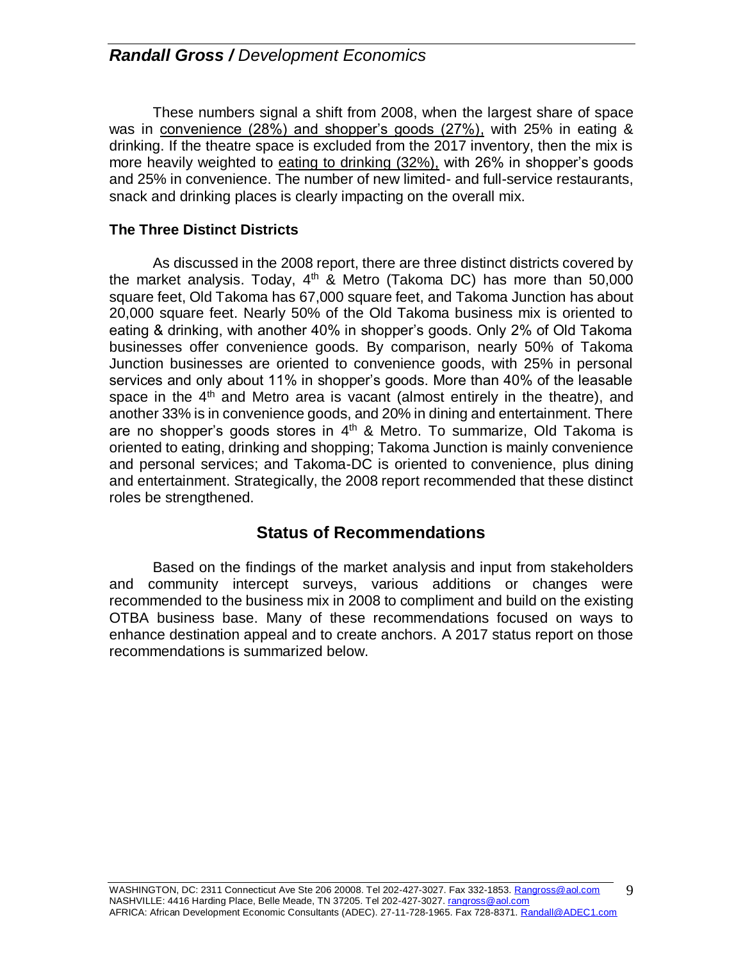These numbers signal a shift from 2008, when the largest share of space was in convenience (28%) and shopper's goods (27%), with 25% in eating & drinking. If the theatre space is excluded from the 2017 inventory, then the mix is more heavily weighted to eating to drinking (32%), with 26% in shopper's goods and 25% in convenience. The number of new limited- and full-service restaurants, snack and drinking places is clearly impacting on the overall mix.

### **The Three Distinct Districts**

As discussed in the 2008 report, there are three distinct districts covered by the market analysis. Today, 4<sup>th</sup> & Metro (Takoma DC) has more than 50,000 square feet, Old Takoma has 67,000 square feet, and Takoma Junction has about 20,000 square feet. Nearly 50% of the Old Takoma business mix is oriented to eating & drinking, with another 40% in shopper's goods. Only 2% of Old Takoma businesses offer convenience goods. By comparison, nearly 50% of Takoma Junction businesses are oriented to convenience goods, with 25% in personal services and only about 11% in shopper's goods. More than 40% of the leasable space in the  $4<sup>th</sup>$  and Metro area is vacant (almost entirely in the theatre), and another 33% is in convenience goods, and 20% in dining and entertainment. There are no shopper's goods stores in 4<sup>th</sup> & Metro. To summarize, Old Takoma is oriented to eating, drinking and shopping; Takoma Junction is mainly convenience and personal services; and Takoma-DC is oriented to convenience, plus dining and entertainment. Strategically, the 2008 report recommended that these distinct roles be strengthened.

### **Status of Recommendations**

Based on the findings of the market analysis and input from stakeholders and community intercept surveys, various additions or changes were recommended to the business mix in 2008 to compliment and build on the existing OTBA business base. Many of these recommendations focused on ways to enhance destination appeal and to create anchors. A 2017 status report on those recommendations is summarized below.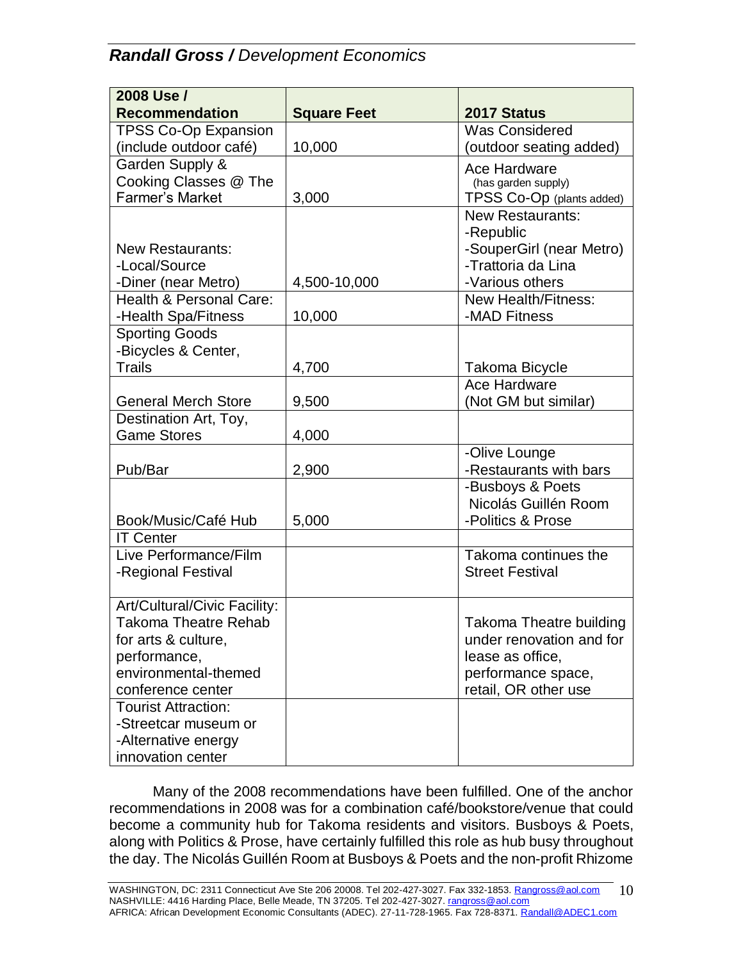| 2008 Use /                           |                    |                                       |
|--------------------------------------|--------------------|---------------------------------------|
| <b>Recommendation</b>                | <b>Square Feet</b> | 2017 Status                           |
| <b>TPSS Co-Op Expansion</b>          |                    | <b>Was Considered</b>                 |
| (include outdoor café)               | 10,000             | (outdoor seating added)               |
| Garden Supply &                      |                    | Ace Hardware                          |
| Cooking Classes @ The                |                    | (has garden supply)                   |
| <b>Farmer's Market</b>               | 3,000              | TPSS Co-Op (plants added)             |
|                                      |                    | <b>New Restaurants:</b>               |
|                                      |                    | -Republic                             |
| <b>New Restaurants:</b>              |                    | -SouperGirl (near Metro)              |
| -Local/Source                        |                    | -Trattoria da Lina                    |
| -Diner (near Metro)                  | 4,500-10,000       | -Various others                       |
| Health & Personal Care:              |                    | <b>New Health/Fitness:</b>            |
| -Health Spa/Fitness                  | 10,000             | -MAD Fitness                          |
| <b>Sporting Goods</b>                |                    |                                       |
| -Bicycles & Center,<br><b>Trails</b> |                    |                                       |
|                                      | 4,700              | <b>Takoma Bicycle</b><br>Ace Hardware |
| <b>General Merch Store</b>           | 9,500              | (Not GM but similar)                  |
| Destination Art, Toy,                |                    |                                       |
| <b>Game Stores</b>                   | 4,000              |                                       |
|                                      |                    | -Olive Lounge                         |
| Pub/Bar                              | 2,900              | -Restaurants with bars                |
|                                      |                    | -Busboys & Poets                      |
|                                      |                    | Nicolás Guillén Room                  |
| Book/Music/Café Hub                  | 5,000              | -Politics & Prose                     |
| <b>IT Center</b>                     |                    |                                       |
| Live Performance/Film                |                    | Takoma continues the                  |
| -Regional Festival                   |                    | <b>Street Festival</b>                |
|                                      |                    |                                       |
| Art/Cultural/Civic Facility:         |                    |                                       |
| <b>Takoma Theatre Rehab</b>          |                    | <b>Takoma Theatre building</b>        |
| for arts & culture,                  |                    | under renovation and for              |
| performance,                         |                    | lease as office,                      |
| environmental-themed                 |                    | performance space,                    |
| conference center                    |                    | retail, OR other use                  |
| <b>Tourist Attraction:</b>           |                    |                                       |
| -Streetcar museum or                 |                    |                                       |
| -Alternative energy                  |                    |                                       |
| innovation center                    |                    |                                       |

Many of the 2008 recommendations have been fulfilled. One of the anchor recommendations in 2008 was for a combination café/bookstore/venue that could become a community hub for Takoma residents and visitors. Busboys & Poets, along with Politics & Prose, have certainly fulfilled this role as hub busy throughout the day. The Nicolás Guillén Room at Busboys & Poets and the non-profit Rhizome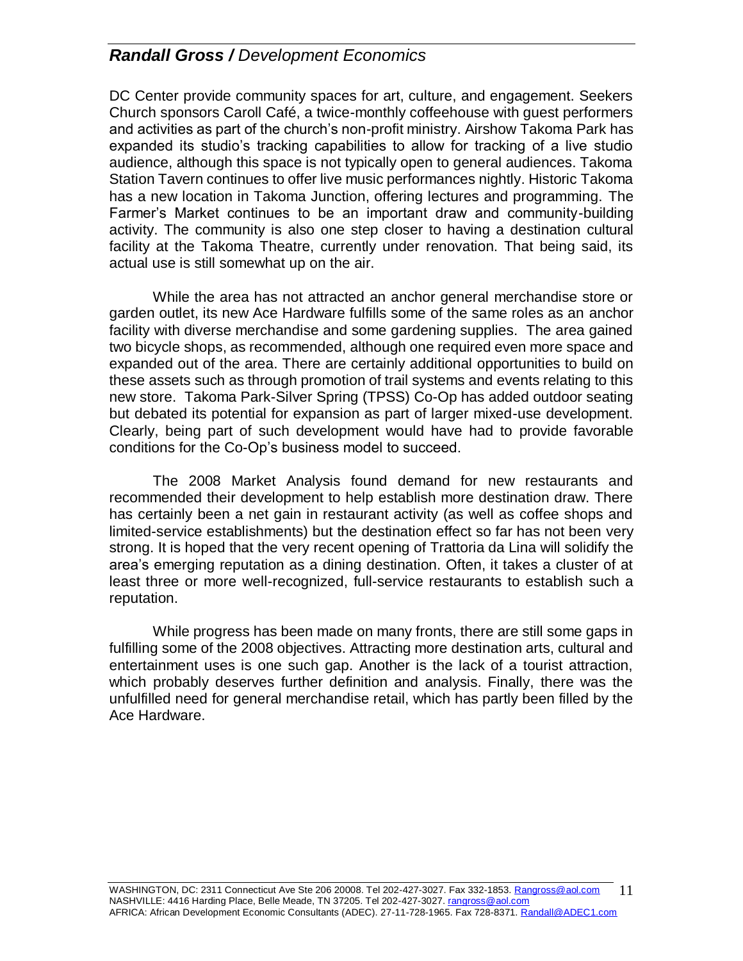DC Center provide community spaces for art, culture, and engagement. Seekers Church sponsors Caroll Café, a twice-monthly coffeehouse with guest performers and activities as part of the church's non-profit ministry. Airshow Takoma Park has expanded its studio's tracking capabilities to allow for tracking of a live studio audience, although this space is not typically open to general audiences. Takoma Station Tavern continues to offer live music performances nightly. Historic Takoma has a new location in Takoma Junction, offering lectures and programming. The Farmer's Market continues to be an important draw and community-building activity. The community is also one step closer to having a destination cultural facility at the Takoma Theatre, currently under renovation. That being said, its actual use is still somewhat up on the air.

While the area has not attracted an anchor general merchandise store or garden outlet, its new Ace Hardware fulfills some of the same roles as an anchor facility with diverse merchandise and some gardening supplies. The area gained two bicycle shops, as recommended, although one required even more space and expanded out of the area. There are certainly additional opportunities to build on these assets such as through promotion of trail systems and events relating to this new store. Takoma Park-Silver Spring (TPSS) Co-Op has added outdoor seating but debated its potential for expansion as part of larger mixed-use development. Clearly, being part of such development would have had to provide favorable conditions for the Co-Op's business model to succeed.

The 2008 Market Analysis found demand for new restaurants and recommended their development to help establish more destination draw. There has certainly been a net gain in restaurant activity (as well as coffee shops and limited-service establishments) but the destination effect so far has not been very strong. It is hoped that the very recent opening of Trattoria da Lina will solidify the area's emerging reputation as a dining destination. Often, it takes a cluster of at least three or more well-recognized, full-service restaurants to establish such a reputation.

While progress has been made on many fronts, there are still some gaps in fulfilling some of the 2008 objectives. Attracting more destination arts, cultural and entertainment uses is one such gap. Another is the lack of a tourist attraction, which probably deserves further definition and analysis. Finally, there was the unfulfilled need for general merchandise retail, which has partly been filled by the Ace Hardware.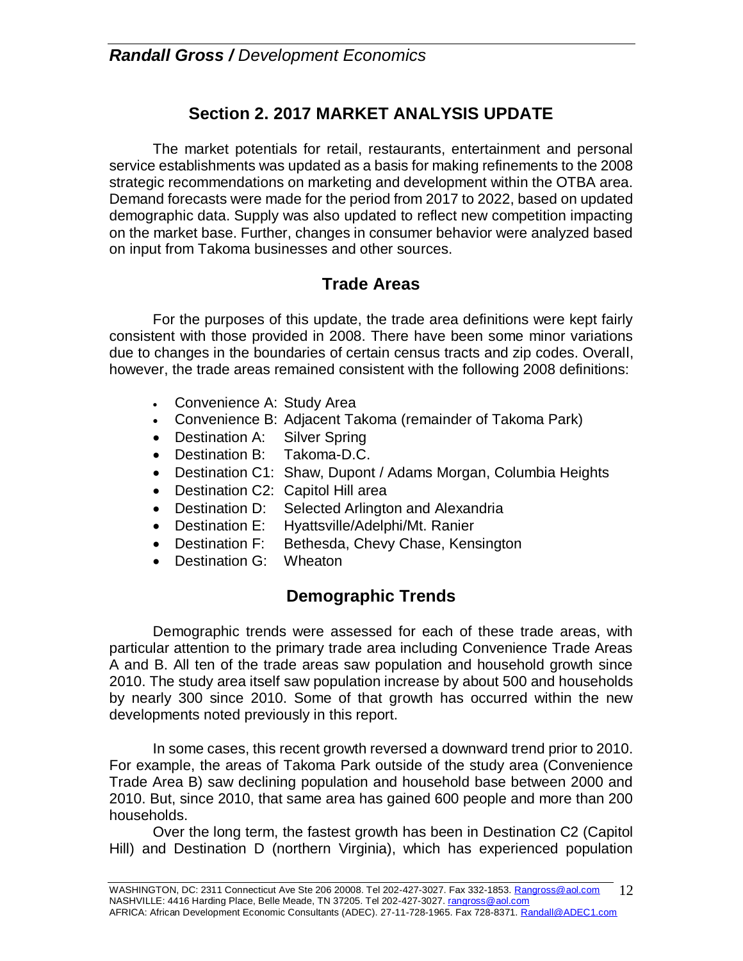# **Section 2. 2017 MARKET ANALYSIS UPDATE**

The market potentials for retail, restaurants, entertainment and personal service establishments was updated as a basis for making refinements to the 2008 strategic recommendations on marketing and development within the OTBA area. Demand forecasts were made for the period from 2017 to 2022, based on updated demographic data. Supply was also updated to reflect new competition impacting on the market base. Further, changes in consumer behavior were analyzed based on input from Takoma businesses and other sources.

### **Trade Areas**

For the purposes of this update, the trade area definitions were kept fairly consistent with those provided in 2008. There have been some minor variations due to changes in the boundaries of certain census tracts and zip codes. Overall, however, the trade areas remained consistent with the following 2008 definitions:

- Convenience A: Study Area
- Convenience B: Adjacent Takoma (remainder of Takoma Park)
- Destination A: Silver Spring
- Destination B: Takoma-D.C.
- Destination C1: Shaw, Dupont / Adams Morgan, Columbia Heights
- Destination C2: Capitol Hill area
- Destination D: Selected Arlington and Alexandria
- Destination E: Hyattsville/Adelphi/Mt. Ranier
- Destination F: Bethesda, Chevy Chase, Kensington
- Destination G: Wheaton

# **Demographic Trends**

Demographic trends were assessed for each of these trade areas, with particular attention to the primary trade area including Convenience Trade Areas A and B. All ten of the trade areas saw population and household growth since 2010. The study area itself saw population increase by about 500 and households by nearly 300 since 2010. Some of that growth has occurred within the new developments noted previously in this report.

In some cases, this recent growth reversed a downward trend prior to 2010. For example, the areas of Takoma Park outside of the study area (Convenience Trade Area B) saw declining population and household base between 2000 and 2010. But, since 2010, that same area has gained 600 people and more than 200 households.

Over the long term, the fastest growth has been in Destination C2 (Capitol Hill) and Destination D (northern Virginia), which has experienced population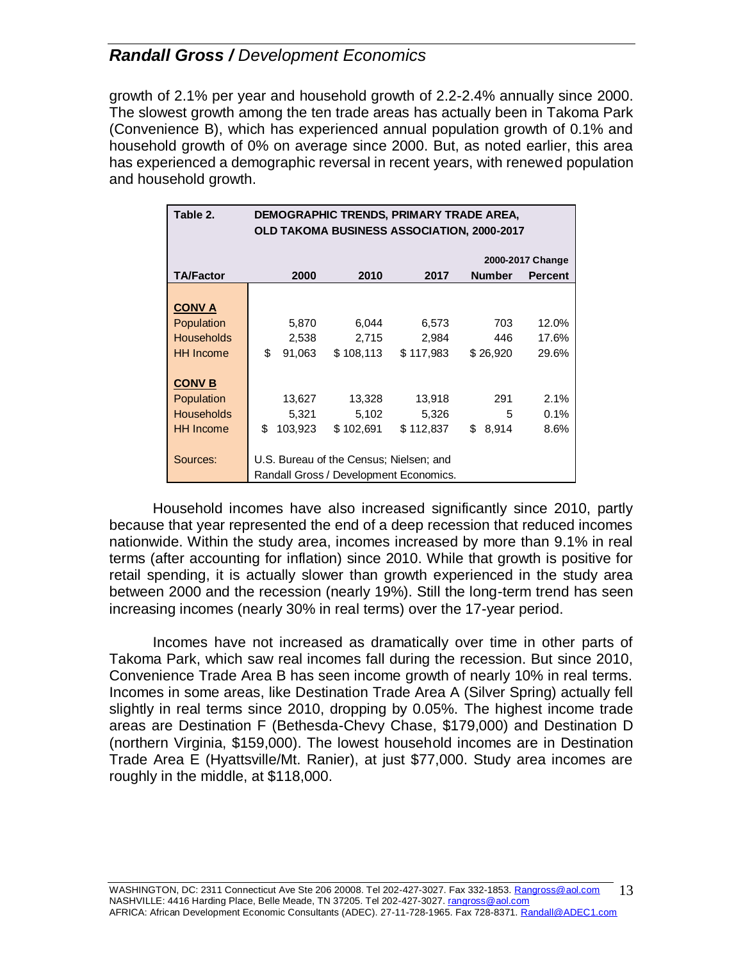growth of 2.1% per year and household growth of 2.2-2.4% annually since 2000. The slowest growth among the ten trade areas has actually been in Takoma Park (Convenience B), which has experienced annual population growth of 0.1% and household growth of 0% on average since 2000. But, as noted earlier, this area has experienced a demographic reversal in recent years, with renewed population and household growth.

| Table 2.          | DEMOGRAPHIC TRENDS, PRIMARY TRADE AREA, |                                                   |           |           |               |                  |
|-------------------|-----------------------------------------|---------------------------------------------------|-----------|-----------|---------------|------------------|
|                   |                                         | <b>OLD TAKOMA BUSINESS ASSOCIATION, 2000-2017</b> |           |           |               |                  |
|                   |                                         |                                                   |           |           |               | 2000-2017 Change |
| <b>TA/Factor</b>  |                                         | 2000                                              | 2010      | 2017      | <b>Number</b> | <b>Percent</b>   |
|                   |                                         |                                                   |           |           |               |                  |
| <b>CONVA</b>      |                                         |                                                   |           |           |               |                  |
| Population        |                                         | 5,870                                             | 6,044     | 6,573     | 703           | 12.0%            |
| <b>Households</b> |                                         | 2,538                                             | 2,715     | 2,984     | 446           | 17.6%            |
| <b>HH</b> Income  | \$                                      | 91,063                                            | \$108,113 | \$117,983 | \$26,920      | 29.6%            |
|                   |                                         |                                                   |           |           |               |                  |
| <b>CONV B</b>     |                                         |                                                   |           |           |               |                  |
| Population        |                                         | 13,627                                            | 13,328    | 13,918    | 291           | 2.1%             |
| <b>Households</b> |                                         | 5,321                                             | 5,102     | 5,326     | 5             | 0.1%             |
| <b>HH</b> Income  | \$                                      | 103,923                                           | \$102,691 | \$112,837 | \$8,914       | 8.6%             |
|                   |                                         |                                                   |           |           |               |                  |
| Sources:          | U.S. Bureau of the Census; Nielsen; and |                                                   |           |           |               |                  |
|                   | Randall Gross / Development Economics.  |                                                   |           |           |               |                  |

Household incomes have also increased significantly since 2010, partly because that year represented the end of a deep recession that reduced incomes nationwide. Within the study area, incomes increased by more than 9.1% in real terms (after accounting for inflation) since 2010. While that growth is positive for retail spending, it is actually slower than growth experienced in the study area between 2000 and the recession (nearly 19%). Still the long-term trend has seen increasing incomes (nearly 30% in real terms) over the 17-year period.

Incomes have not increased as dramatically over time in other parts of Takoma Park, which saw real incomes fall during the recession. But since 2010, Convenience Trade Area B has seen income growth of nearly 10% in real terms. Incomes in some areas, like Destination Trade Area A (Silver Spring) actually fell slightly in real terms since 2010, dropping by 0.05%. The highest income trade areas are Destination F (Bethesda-Chevy Chase, \$179,000) and Destination D (northern Virginia, \$159,000). The lowest household incomes are in Destination Trade Area E (Hyattsville/Mt. Ranier), at just \$77,000. Study area incomes are roughly in the middle, at \$118,000.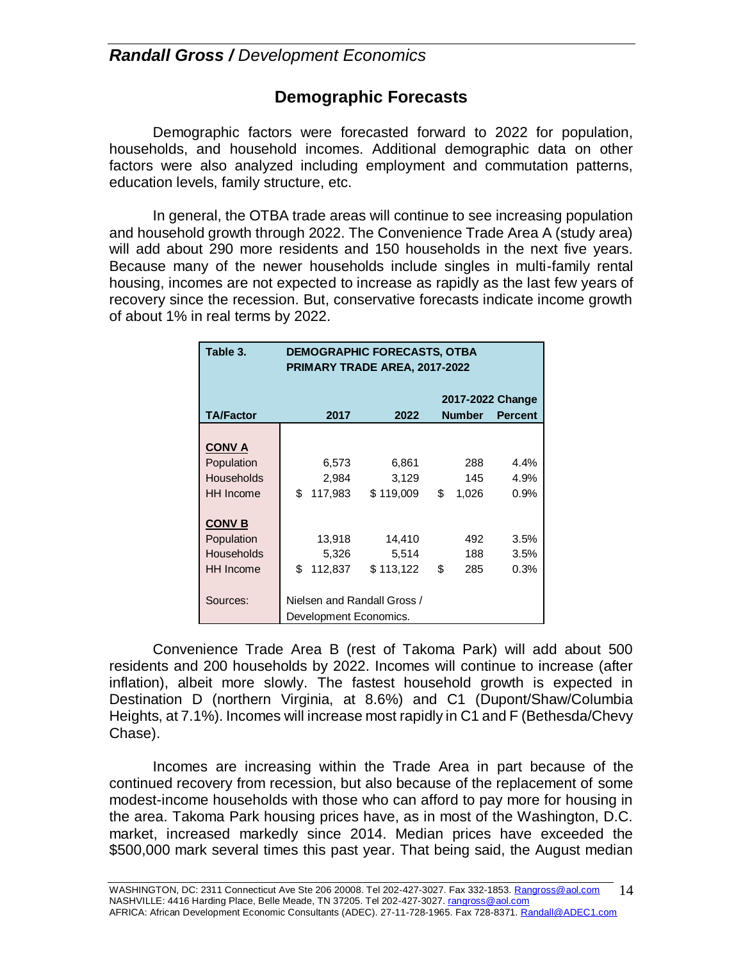### **Demographic Forecasts**

Demographic factors were forecasted forward to 2022 for population, households, and household incomes. Additional demographic data on other factors were also analyzed including employment and commutation patterns, education levels, family structure, etc.

In general, the OTBA trade areas will continue to see increasing population and household growth through 2022. The Convenience Trade Area A (study area) will add about 290 more residents and 150 households in the next five years. Because many of the newer households include singles in multi-family rental housing, incomes are not expected to increase as rapidly as the last few years of recovery since the recession. But, conservative forecasts indicate income growth of about 1% in real terms by 2022.

| Table 3.         | <b>DEMOGRAPHIC FORECASTS, OTBA</b><br><b>PRIMARY TRADE AREA, 2017-2022</b> |         |           |    |       |      |
|------------------|----------------------------------------------------------------------------|---------|-----------|----|-------|------|
| <b>TA/Factor</b> | 2017-2022 Change<br>2017<br><b>Number</b><br>2022<br><b>Percent</b>        |         |           |    |       |      |
|                  |                                                                            |         |           |    |       |      |
| <b>CONVA</b>     |                                                                            |         |           |    |       |      |
| Population       |                                                                            | 6,573   | 6,861     |    | 288   | 4.4% |
| Households       |                                                                            | 2,984   | 3,129     |    | 145   | 4.9% |
| <b>HH</b> Income | \$                                                                         | 117,983 | \$119,009 | \$ | 1,026 | 0.9% |
|                  |                                                                            |         |           |    |       |      |
| <b>CONV B</b>    |                                                                            |         |           |    |       |      |
| Population       |                                                                            | 13,918  | 14,410    |    | 492   | 3.5% |
| Households       |                                                                            | 5,326   | 5,514     |    | 188   | 3.5% |
| <b>HH</b> Income | \$                                                                         | 112,837 | \$113,122 | \$ | 285   | 0.3% |
|                  |                                                                            |         |           |    |       |      |
| Sources:         | Nielsen and Randall Gross /                                                |         |           |    |       |      |
|                  | Development Economics.                                                     |         |           |    |       |      |

Convenience Trade Area B (rest of Takoma Park) will add about 500 residents and 200 households by 2022. Incomes will continue to increase (after inflation), albeit more slowly. The fastest household growth is expected in Destination D (northern Virginia, at 8.6%) and C1 (Dupont/Shaw/Columbia Heights, at 7.1%). Incomes will increase most rapidly in C1 and F (Bethesda/Chevy Chase).

Incomes are increasing within the Trade Area in part because of the continued recovery from recession, but also because of the replacement of some modest-income households with those who can afford to pay more for housing in the area. Takoma Park housing prices have, as in most of the Washington, D.C. market, increased markedly since 2014. Median prices have exceeded the \$500,000 mark several times this past year. That being said, the August median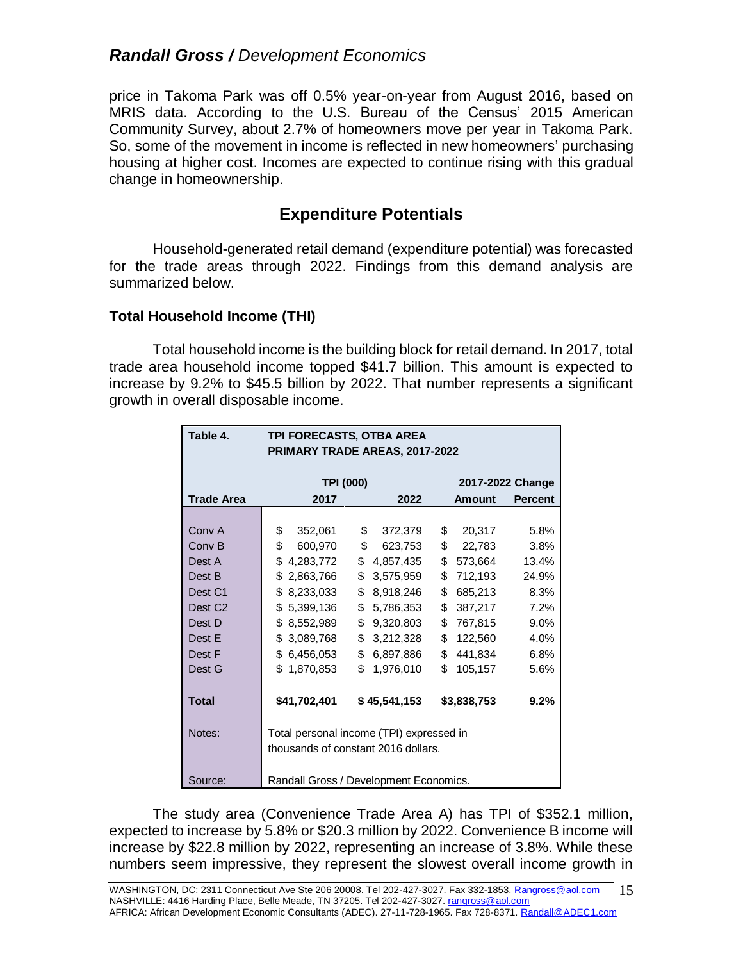price in Takoma Park was off 0.5% year-on-year from August 2016, based on MRIS data. According to the U.S. Bureau of the Census' 2015 American Community Survey, about 2.7% of homeowners move per year in Takoma Park. So, some of the movement in income is reflected in new homeowners' purchasing housing at higher cost. Incomes are expected to continue rising with this gradual change in homeownership.

### **Expenditure Potentials**

Household-generated retail demand (expenditure potential) was forecasted for the trade areas through 2022. Findings from this demand analysis are summarized below.

### **Total Household Income (THI)**

Total household income is the building block for retail demand. In 2017, total trade area household income topped \$41.7 billion. This amount is expected to increase by 9.2% to \$45.5 billion by 2022. That number represents a significant growth in overall disposable income.

| Table 4.            | TPI FORECASTS, OTBA AREA                 |                 |                                 |  |  |  |
|---------------------|------------------------------------------|-----------------|---------------------------------|--|--|--|
|                     | <b>PRIMARY TRADE AREAS, 2017-2022</b>    |                 |                                 |  |  |  |
|                     |                                          |                 |                                 |  |  |  |
|                     | <b>TPI (000)</b>                         |                 | 2017-2022 Change                |  |  |  |
| <b>Trade Area</b>   | 2017                                     | 2022            | Amount<br><b>Percent</b>        |  |  |  |
|                     |                                          |                 |                                 |  |  |  |
| Conv A              | \$<br>352,061                            | \$<br>372,379   | $\mathfrak s$<br>20,317<br>5.8% |  |  |  |
| Conv <sub>B</sub>   | \$<br>600,970                            | \$623,753       | \$22,783<br>3.8%                |  |  |  |
| Dest A              | \$4,283,772                              | \$<br>4,857,435 | \$<br>13.4%<br>573,664          |  |  |  |
| Dest B              | \$2,863,766                              | \$<br>3,575,959 | \$<br>712,193<br>24.9%          |  |  |  |
| Dest C1             | \$8,233,033                              | \$<br>8,918,246 | \$<br>685,213<br>8.3%           |  |  |  |
| Dest C <sub>2</sub> | \$5,399,136                              | \$<br>5,786,353 | \$<br>387,217<br>7.2%           |  |  |  |
| Dest D              | \$8,552,989                              | \$<br>9,320,803 | \$<br>767,815<br>9.0%           |  |  |  |
| Dest E              | \$3,089,768                              | \$<br>3,212,328 | \$<br>122,560<br>4.0%           |  |  |  |
| Dest F              | \$ 6,456,053                             | \$<br>6,897,886 | \$<br>441,834<br>6.8%           |  |  |  |
| Dest G              | \$1,870,853                              | \$<br>1,976,010 | \$<br>105,157<br>5.6%           |  |  |  |
|                     |                                          |                 |                                 |  |  |  |
| <b>Total</b>        | \$41,702,401                             | \$45,541,153    | \$3,838,753<br>9.2%             |  |  |  |
|                     |                                          |                 |                                 |  |  |  |
| Notes:              | Total personal income (TPI) expressed in |                 |                                 |  |  |  |
|                     | thousands of constant 2016 dollars.      |                 |                                 |  |  |  |
|                     |                                          |                 |                                 |  |  |  |
| Source:             | Randall Gross / Development Economics.   |                 |                                 |  |  |  |

The study area (Convenience Trade Area A) has TPI of \$352.1 million, expected to increase by 5.8% or \$20.3 million by 2022. Convenience B income will increase by \$22.8 million by 2022, representing an increase of 3.8%. While these numbers seem impressive, they represent the slowest overall income growth in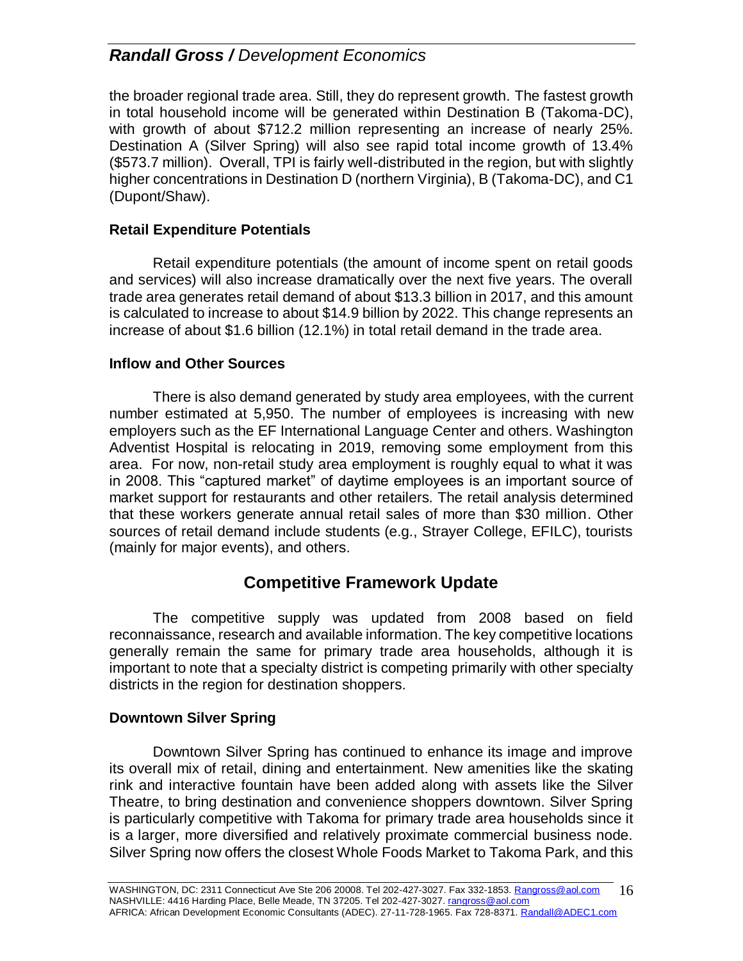the broader regional trade area. Still, they do represent growth. The fastest growth in total household income will be generated within Destination B (Takoma-DC), with growth of about \$712.2 million representing an increase of nearly 25%. Destination A (Silver Spring) will also see rapid total income growth of 13.4% (\$573.7 million). Overall, TPI is fairly well-distributed in the region, but with slightly higher concentrations in Destination D (northern Virginia), B (Takoma-DC), and C1 (Dupont/Shaw).

#### **Retail Expenditure Potentials**

Retail expenditure potentials (the amount of income spent on retail goods and services) will also increase dramatically over the next five years. The overall trade area generates retail demand of about \$13.3 billion in 2017, and this amount is calculated to increase to about \$14.9 billion by 2022. This change represents an increase of about \$1.6 billion (12.1%) in total retail demand in the trade area.

#### **Inflow and Other Sources**

There is also demand generated by study area employees, with the current number estimated at 5,950. The number of employees is increasing with new employers such as the EF International Language Center and others. Washington Adventist Hospital is relocating in 2019, removing some employment from this area. For now, non-retail study area employment is roughly equal to what it was in 2008. This "captured market" of daytime employees is an important source of market support for restaurants and other retailers. The retail analysis determined that these workers generate annual retail sales of more than \$30 million. Other sources of retail demand include students (e.g., Strayer College, EFILC), tourists (mainly for major events), and others.

### **Competitive Framework Update**

The competitive supply was updated from 2008 based on field reconnaissance, research and available information. The key competitive locations generally remain the same for primary trade area households, although it is important to note that a specialty district is competing primarily with other specialty districts in the region for destination shoppers.

#### **Downtown Silver Spring**

Downtown Silver Spring has continued to enhance its image and improve its overall mix of retail, dining and entertainment. New amenities like the skating rink and interactive fountain have been added along with assets like the Silver Theatre, to bring destination and convenience shoppers downtown. Silver Spring is particularly competitive with Takoma for primary trade area households since it is a larger, more diversified and relatively proximate commercial business node. Silver Spring now offers the closest Whole Foods Market to Takoma Park, and this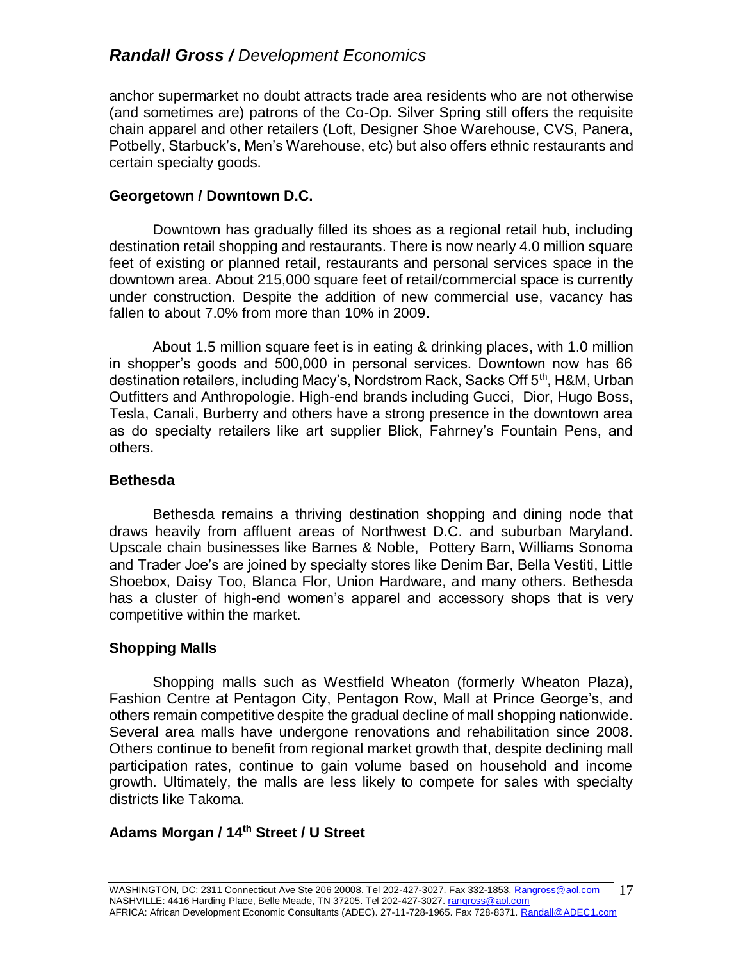anchor supermarket no doubt attracts trade area residents who are not otherwise (and sometimes are) patrons of the Co-Op. Silver Spring still offers the requisite chain apparel and other retailers (Loft, Designer Shoe Warehouse, CVS, Panera, Potbelly, Starbuck's, Men's Warehouse, etc) but also offers ethnic restaurants and certain specialty goods.

### **Georgetown / Downtown D.C.**

Downtown has gradually filled its shoes as a regional retail hub, including destination retail shopping and restaurants. There is now nearly 4.0 million square feet of existing or planned retail, restaurants and personal services space in the downtown area. About 215,000 square feet of retail/commercial space is currently under construction. Despite the addition of new commercial use, vacancy has fallen to about 7.0% from more than 10% in 2009.

About 1.5 million square feet is in eating & drinking places, with 1.0 million in shopper's goods and 500,000 in personal services. Downtown now has 66 destination retailers, including Macy's, Nordstrom Rack, Sacks Off 5<sup>th</sup>, H&M, Urban Outfitters and Anthropologie. High-end brands including Gucci, Dior, Hugo Boss, Tesla, Canali, Burberry and others have a strong presence in the downtown area as do specialty retailers like art supplier Blick, Fahrney's Fountain Pens, and others.

#### **Bethesda**

Bethesda remains a thriving destination shopping and dining node that draws heavily from affluent areas of Northwest D.C. and suburban Maryland. Upscale chain businesses like Barnes & Noble, Pottery Barn, Williams Sonoma and Trader Joe's are joined by specialty stores like Denim Bar, Bella Vestiti, Little Shoebox, Daisy Too, Blanca Flor, Union Hardware, and many others. Bethesda has a cluster of high-end women's apparel and accessory shops that is very competitive within the market.

### **Shopping Malls**

Shopping malls such as Westfield Wheaton (formerly Wheaton Plaza), Fashion Centre at Pentagon City, Pentagon Row, Mall at Prince George's, and others remain competitive despite the gradual decline of mall shopping nationwide. Several area malls have undergone renovations and rehabilitation since 2008. Others continue to benefit from regional market growth that, despite declining mall participation rates, continue to gain volume based on household and income growth. Ultimately, the malls are less likely to compete for sales with specialty districts like Takoma.

### **Adams Morgan / 14th Street / U Street**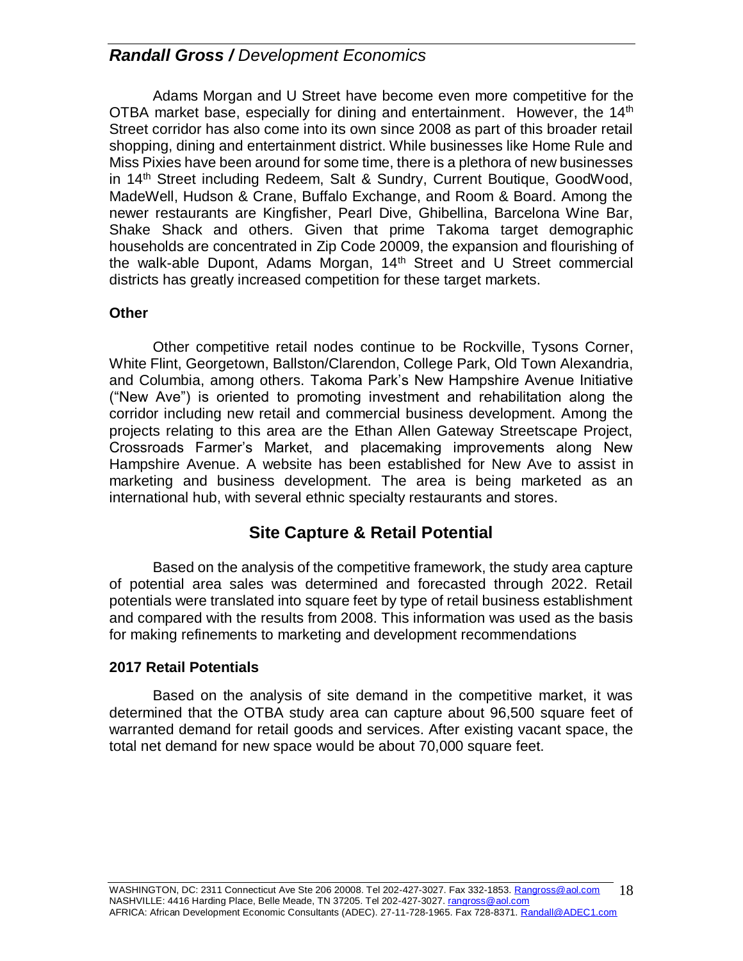Adams Morgan and U Street have become even more competitive for the OTBA market base, especially for dining and entertainment. However, the 14<sup>th</sup> Street corridor has also come into its own since 2008 as part of this broader retail shopping, dining and entertainment district. While businesses like Home Rule and Miss Pixies have been around for some time, there is a plethora of new businesses in 14<sup>th</sup> Street including Redeem, Salt & Sundry, Current Boutique, GoodWood, MadeWell, Hudson & Crane, Buffalo Exchange, and Room & Board. Among the newer restaurants are Kingfisher, Pearl Dive, Ghibellina, Barcelona Wine Bar, Shake Shack and others. Given that prime Takoma target demographic households are concentrated in Zip Code 20009, the expansion and flourishing of the walk-able Dupont, Adams Morgan, 14<sup>th</sup> Street and U Street commercial districts has greatly increased competition for these target markets.

#### **Other**

Other competitive retail nodes continue to be Rockville, Tysons Corner, White Flint, Georgetown, Ballston/Clarendon, College Park, Old Town Alexandria, and Columbia, among others. Takoma Park's New Hampshire Avenue Initiative ("New Ave") is oriented to promoting investment and rehabilitation along the corridor including new retail and commercial business development. Among the projects relating to this area are the Ethan Allen Gateway Streetscape Project, Crossroads Farmer's Market, and placemaking improvements along New Hampshire Avenue. A website has been established for New Ave to assist in marketing and business development. The area is being marketed as an international hub, with several ethnic specialty restaurants and stores.

### **Site Capture & Retail Potential**

Based on the analysis of the competitive framework, the study area capture of potential area sales was determined and forecasted through 2022. Retail potentials were translated into square feet by type of retail business establishment and compared with the results from 2008. This information was used as the basis for making refinements to marketing and development recommendations

### **2017 Retail Potentials**

Based on the analysis of site demand in the competitive market, it was determined that the OTBA study area can capture about 96,500 square feet of warranted demand for retail goods and services. After existing vacant space, the total net demand for new space would be about 70,000 square feet.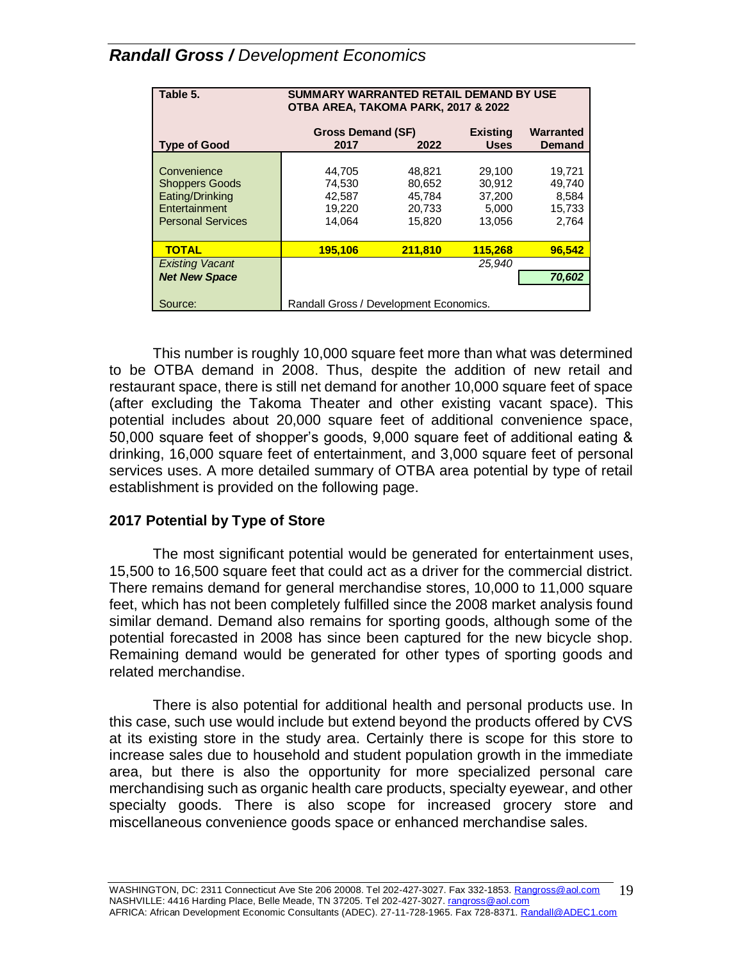| Table 5.                                                                                             | SUMMARY WARRANTED RETAIL DEMAND BY USE<br>OTBA AREA, TAKOMA PARK, 2017 & 2022 |                                                |                                               |                                              |
|------------------------------------------------------------------------------------------------------|-------------------------------------------------------------------------------|------------------------------------------------|-----------------------------------------------|----------------------------------------------|
| <b>Type of Good</b>                                                                                  | <b>Gross Demand (SF)</b><br><b>Existing</b><br><b>Uses</b><br>2017<br>2022    |                                                |                                               | Warranted<br>Demand                          |
| Convenience<br><b>Shoppers Goods</b><br>Eating/Drinking<br>Entertainment<br><b>Personal Services</b> | 44,705<br>74,530<br>42,587<br>19,220<br>14.064                                | 48,821<br>80,652<br>45.784<br>20,733<br>15.820 | 29,100<br>30,912<br>37,200<br>5,000<br>13.056 | 19,721<br>49,740<br>8,584<br>15,733<br>2.764 |
| <b>TOTAL</b>                                                                                         | 195.106                                                                       | 211,810                                        | 115,268                                       | 96.542                                       |
| <b>Existing Vacant</b><br><b>Net New Space</b>                                                       |                                                                               |                                                | 25.940                                        | 70,602                                       |
| Source:                                                                                              | Randall Gross / Development Economics.                                        |                                                |                                               |                                              |

This number is roughly 10,000 square feet more than what was determined to be OTBA demand in 2008. Thus, despite the addition of new retail and restaurant space, there is still net demand for another 10,000 square feet of space (after excluding the Takoma Theater and other existing vacant space). This potential includes about 20,000 square feet of additional convenience space, 50,000 square feet of shopper's goods, 9,000 square feet of additional eating & drinking, 16,000 square feet of entertainment, and 3,000 square feet of personal services uses. A more detailed summary of OTBA area potential by type of retail establishment is provided on the following page.

### **2017 Potential by Type of Store**

The most significant potential would be generated for entertainment uses, 15,500 to 16,500 square feet that could act as a driver for the commercial district. There remains demand for general merchandise stores, 10,000 to 11,000 square feet, which has not been completely fulfilled since the 2008 market analysis found similar demand. Demand also remains for sporting goods, although some of the potential forecasted in 2008 has since been captured for the new bicycle shop. Remaining demand would be generated for other types of sporting goods and related merchandise.

There is also potential for additional health and personal products use. In this case, such use would include but extend beyond the products offered by CVS at its existing store in the study area. Certainly there is scope for this store to increase sales due to household and student population growth in the immediate area, but there is also the opportunity for more specialized personal care merchandising such as organic health care products, specialty eyewear, and other specialty goods. There is also scope for increased grocery store and miscellaneous convenience goods space or enhanced merchandise sales.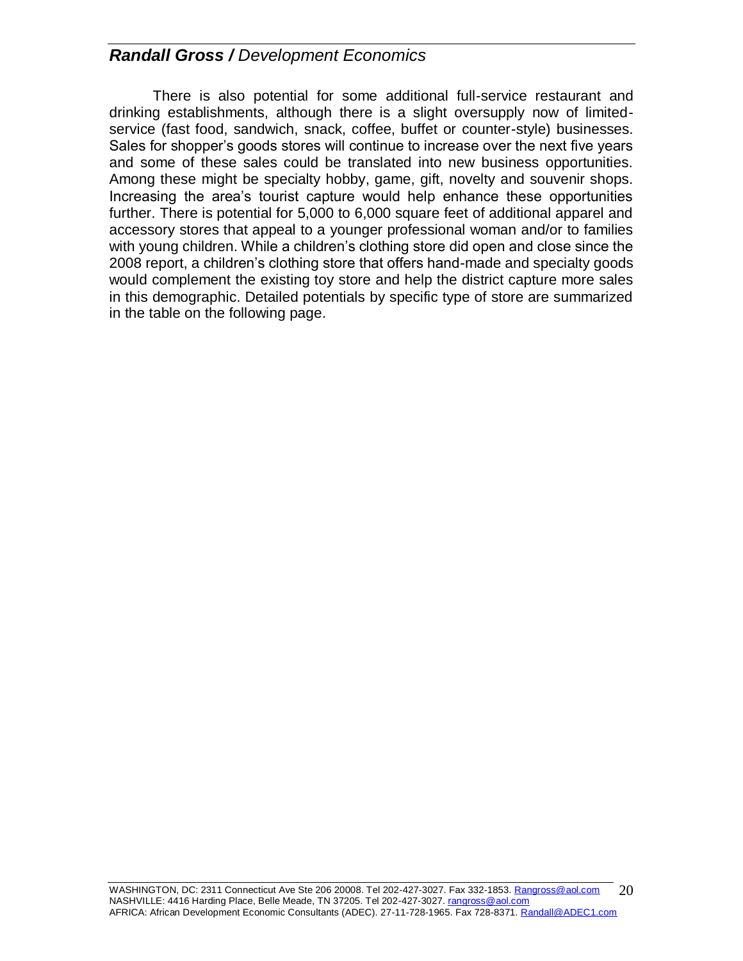There is also potential for some additional full-service restaurant and drinking establishments, although there is a slight oversupply now of limitedservice (fast food, sandwich, snack, coffee, buffet or counter-style) businesses. Sales for shopper's goods stores will continue to increase over the next five years and some of these sales could be translated into new business opportunities. Among these might be specialty hobby, game, gift, novelty and souvenir shops. Increasing the area's tourist capture would help enhance these opportunities further. There is potential for 5,000 to 6,000 square feet of additional apparel and accessory stores that appeal to a younger professional woman and/or to families with young children. While a children's clothing store did open and close since the 2008 report, a children's clothing store that offers hand-made and specialty goods would complement the existing toy store and help the district capture more sales in this demographic. Detailed potentials by specific type of store are summarized in the table on the following page.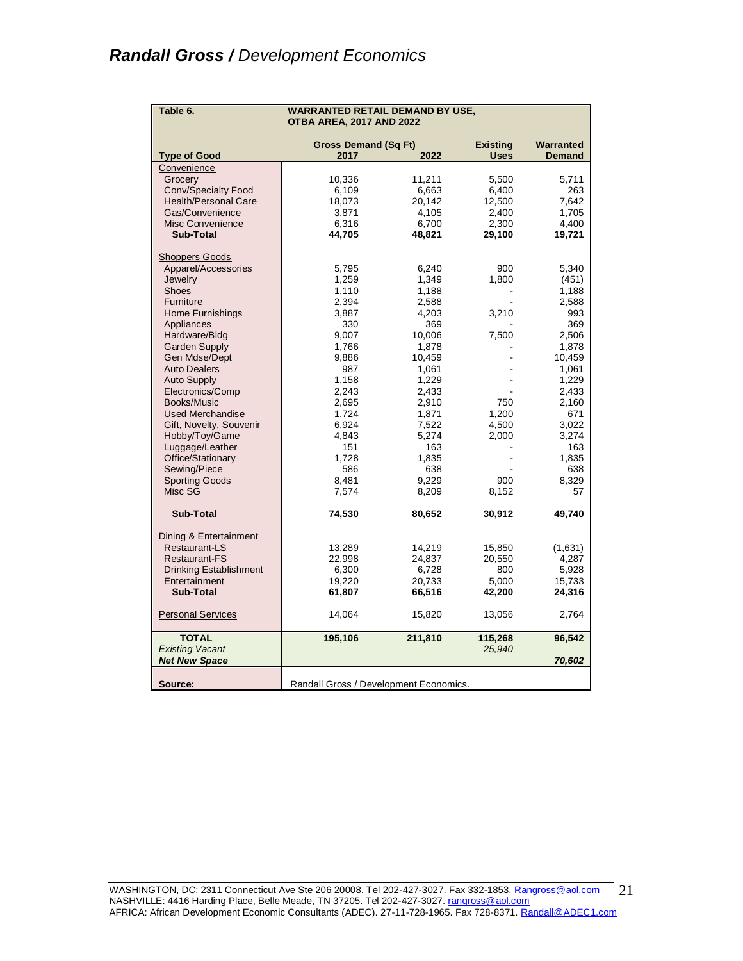| Table 6.                      | <b>WARRANTED RETAIL DEMAND BY USE,</b><br><b>OTBA AREA, 2017 AND 2022</b> |         |                 |               |
|-------------------------------|---------------------------------------------------------------------------|---------|-----------------|---------------|
|                               | <b>Gross Demand (Sq Ft)</b>                                               |         | <b>Existing</b> | Warranted     |
| <b>Type of Good</b>           | 2017                                                                      | 2022    | <b>Uses</b>     | <b>Demand</b> |
| Convenience                   |                                                                           |         |                 |               |
| Grocery                       | 10,336                                                                    | 11,211  | 5,500           | 5,711         |
| Conv/Specialty Food           | 6.109                                                                     | 6.663   | 6.400           | 263           |
| <b>Health/Personal Care</b>   | 18,073                                                                    | 20,142  | 12,500          | 7,642         |
| Gas/Convenience               | 3,871                                                                     | 4,105   | 2,400           | 1,705         |
| <b>Misc Convenience</b>       | 6,316                                                                     | 6,700   | 2,300           | 4,400         |
| <b>Sub-Total</b>              | 44,705                                                                    | 48,821  | 29,100          | 19,721        |
| <b>Shoppers Goods</b>         |                                                                           |         |                 |               |
| Apparel/Accessories           | 5,795                                                                     | 6,240   | 900             | 5,340         |
| Jewelry                       | 1,259                                                                     | 1,349   | 1,800           | (451)         |
| <b>Shoes</b>                  | 1.110                                                                     | 1.188   |                 | 1,188         |
| Furniture                     | 2,394                                                                     | 2,588   |                 | 2,588         |
| <b>Home Furnishings</b>       | 3,887                                                                     | 4,203   | 3,210           | 993           |
| Appliances                    | 330                                                                       | 369     |                 | 369           |
| Hardware/Bldg                 | 9,007                                                                     | 10,006  | 7,500           | 2,506         |
| <b>Garden Supply</b>          | 1,766                                                                     | 1,878   |                 | 1,878         |
| Gen Mdse/Dept                 | 9,886                                                                     | 10,459  |                 | 10,459        |
| <b>Auto Dealers</b>           | 987                                                                       | 1,061   |                 | 1,061         |
| <b>Auto Supply</b>            | 1,158                                                                     | 1,229   |                 | 1,229         |
| Electronics/Comp              | 2,243                                                                     | 2,433   |                 | 2,433         |
| Books/Music                   | 2,695                                                                     | 2,910   | 750             | 2,160         |
| <b>Used Merchandise</b>       | 1,724                                                                     | 1,871   | 1,200           | 671           |
| Gift, Novelty, Souvenir       | 6,924                                                                     | 7,522   | 4,500           | 3,022         |
| Hobby/Toy/Game                | 4,843                                                                     | 5,274   | 2,000           | 3,274         |
| Luggage/Leather               | 151                                                                       | 163     |                 | 163           |
| Office/Stationary             | 1,728                                                                     | 1,835   |                 | 1,835         |
| Sewing/Piece                  | 586                                                                       | 638     |                 | 638           |
| <b>Sporting Goods</b>         | 8,481                                                                     | 9,229   | 900             | 8,329         |
| Misc SG                       | 7,574                                                                     | 8,209   | 8,152           | 57            |
| <b>Sub-Total</b>              | 74,530                                                                    | 80,652  | 30,912          | 49,740        |
| Dining & Entertainment        |                                                                           |         |                 |               |
| <b>Restaurant-LS</b>          | 13,289                                                                    | 14,219  | 15,850          | (1,631)       |
| Restaurant-FS                 | 22,998                                                                    | 24,837  | 20,550          | 4,287         |
| <b>Drinking Establishment</b> | 6,300                                                                     | 6,728   | 800             | 5,928         |
| Entertainment                 | 19,220                                                                    | 20,733  | 5,000           | 15,733        |
| <b>Sub-Total</b>              | 61,807                                                                    | 66,516  | 42,200          | 24,316        |
| <b>Personal Services</b>      | 14,064                                                                    | 15,820  | 13,056          | 2,764         |
| <b>TOTAL</b>                  | 195,106                                                                   | 211,810 | 115,268         | 96,542        |
| <b>Existing Vacant</b>        |                                                                           |         | 25,940          |               |
| <b>Net New Space</b>          |                                                                           |         |                 | 70,602        |
|                               |                                                                           |         |                 |               |
| Source:                       | Randall Gross / Development Economics.                                    |         |                 |               |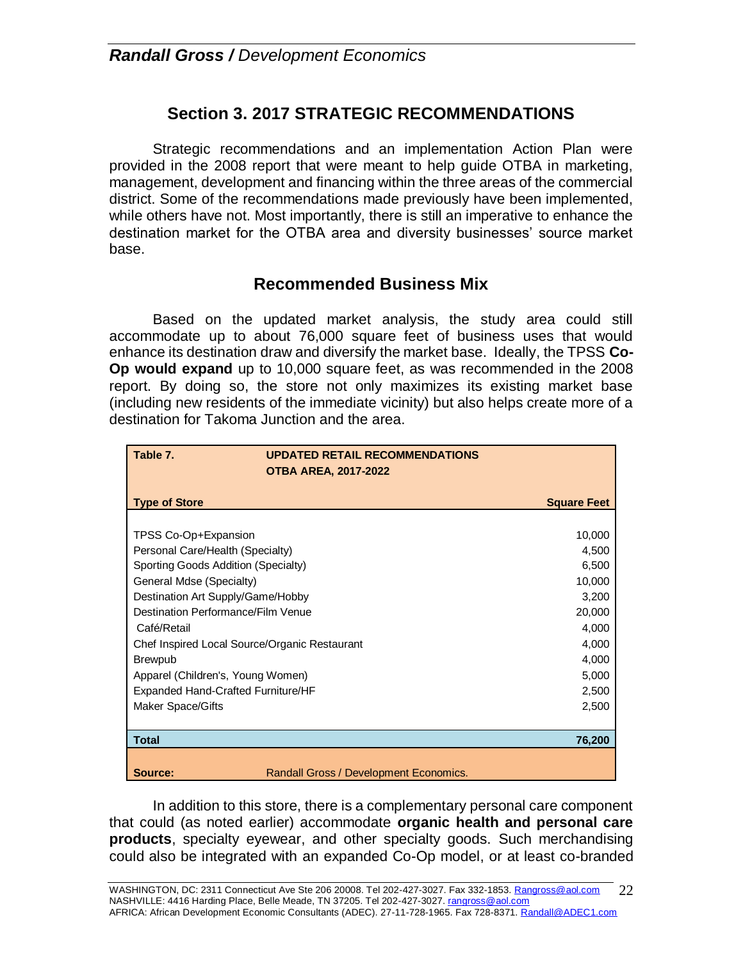## **Section 3. 2017 STRATEGIC RECOMMENDATIONS**

Strategic recommendations and an implementation Action Plan were provided in the 2008 report that were meant to help guide OTBA in marketing, management, development and financing within the three areas of the commercial district. Some of the recommendations made previously have been implemented, while others have not. Most importantly, there is still an imperative to enhance the destination market for the OTBA area and diversity businesses' source market base.

### **Recommended Business Mix**

Based on the updated market analysis, the study area could still accommodate up to about 76,000 square feet of business uses that would enhance its destination draw and diversify the market base. Ideally, the TPSS **Co-Op would expand** up to 10,000 square feet, as was recommended in the 2008 report. By doing so, the store not only maximizes its existing market base (including new residents of the immediate vicinity) but also helps create more of a destination for Takoma Junction and the area.

| Table 7.                                      | <b>UPDATED RETAIL RECOMMENDATIONS</b>  |                    |
|-----------------------------------------------|----------------------------------------|--------------------|
|                                               | <b>OTBA AREA, 2017-2022</b>            |                    |
| <b>Type of Store</b>                          |                                        | <b>Square Feet</b> |
|                                               |                                        |                    |
| TPSS Co-Op+Expansion                          |                                        | 10,000             |
| Personal Care/Health (Specialty)              |                                        | 4,500              |
| Sporting Goods Addition (Specialty)           |                                        | 6,500              |
| General Mdse (Specialty)                      |                                        | 10,000             |
| Destination Art Supply/Game/Hobby             |                                        | 3,200              |
| Destination Performance/Film Venue            | 20,000                                 |                    |
| Café/Retail                                   | 4,000                                  |                    |
| Chef Inspired Local Source/Organic Restaurant | 4,000                                  |                    |
| <b>Brewpub</b>                                | 4,000                                  |                    |
| Apparel (Children's, Young Women)             |                                        | 5,000              |
| <b>Expanded Hand-Crafted Furniture/HF</b>     |                                        | 2,500              |
| Maker Space/Gifts                             |                                        | 2,500              |
|                                               |                                        |                    |
| <b>Total</b>                                  |                                        | 76,200             |
|                                               |                                        |                    |
| Source:                                       | Randall Gross / Development Economics. |                    |

In addition to this store, there is a complementary personal care component that could (as noted earlier) accommodate **organic health and personal care products**, specialty eyewear, and other specialty goods. Such merchandising could also be integrated with an expanded Co-Op model, or at least co-branded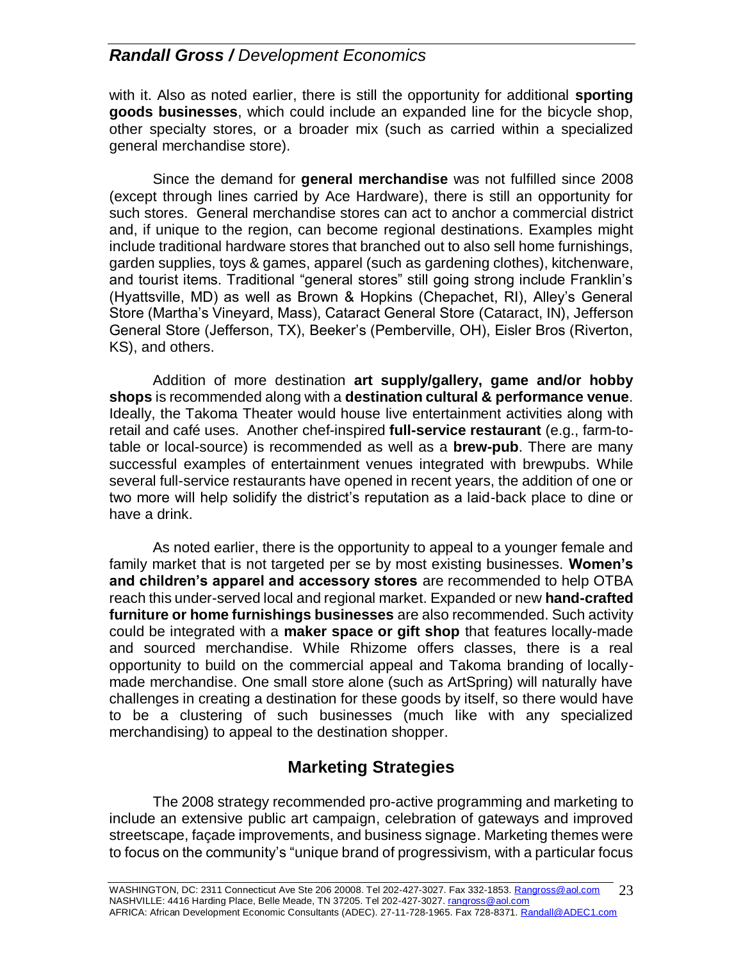with it. Also as noted earlier, there is still the opportunity for additional **sporting goods businesses**, which could include an expanded line for the bicycle shop, other specialty stores, or a broader mix (such as carried within a specialized general merchandise store).

Since the demand for **general merchandise** was not fulfilled since 2008 (except through lines carried by Ace Hardware), there is still an opportunity for such stores. General merchandise stores can act to anchor a commercial district and, if unique to the region, can become regional destinations. Examples might include traditional hardware stores that branched out to also sell home furnishings, garden supplies, toys & games, apparel (such as gardening clothes), kitchenware, and tourist items. Traditional "general stores" still going strong include Franklin's (Hyattsville, MD) as well as Brown & Hopkins (Chepachet, RI), Alley's General Store (Martha's Vineyard, Mass), Cataract General Store (Cataract, IN), Jefferson General Store (Jefferson, TX), Beeker's (Pemberville, OH), Eisler Bros (Riverton, KS), and others.

Addition of more destination **art supply/gallery, game and/or hobby shops** is recommended along with a **destination cultural & performance venue**. Ideally, the Takoma Theater would house live entertainment activities along with retail and café uses. Another chef-inspired **full-service restaurant** (e.g., farm-totable or local-source) is recommended as well as a **brew-pub**. There are many successful examples of entertainment venues integrated with brewpubs. While several full-service restaurants have opened in recent years, the addition of one or two more will help solidify the district's reputation as a laid-back place to dine or have a drink.

As noted earlier, there is the opportunity to appeal to a younger female and family market that is not targeted per se by most existing businesses. **Women's and children's apparel and accessory stores** are recommended to help OTBA reach this under-served local and regional market. Expanded or new **hand-crafted furniture or home furnishings businesses** are also recommended. Such activity could be integrated with a **maker space or gift shop** that features locally-made and sourced merchandise. While Rhizome offers classes, there is a real opportunity to build on the commercial appeal and Takoma branding of locallymade merchandise. One small store alone (such as ArtSpring) will naturally have challenges in creating a destination for these goods by itself, so there would have to be a clustering of such businesses (much like with any specialized merchandising) to appeal to the destination shopper.

# **Marketing Strategies**

The 2008 strategy recommended pro-active programming and marketing to include an extensive public art campaign, celebration of gateways and improved streetscape, façade improvements, and business signage. Marketing themes were to focus on the community's "unique brand of progressivism, with a particular focus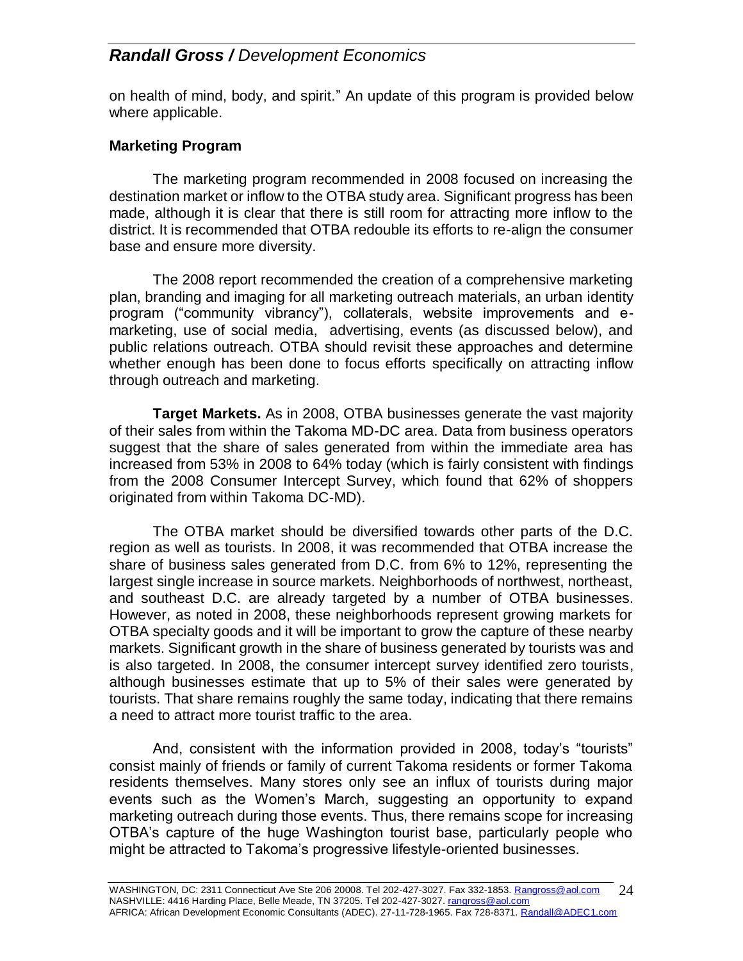on health of mind, body, and spirit." An update of this program is provided below where applicable.

### **Marketing Program**

The marketing program recommended in 2008 focused on increasing the destination market or inflow to the OTBA study area. Significant progress has been made, although it is clear that there is still room for attracting more inflow to the district. It is recommended that OTBA redouble its efforts to re-align the consumer base and ensure more diversity.

The 2008 report recommended the creation of a comprehensive marketing plan, branding and imaging for all marketing outreach materials, an urban identity program ("community vibrancy"), collaterals, website improvements and emarketing, use of social media, advertising, events (as discussed below), and public relations outreach. OTBA should revisit these approaches and determine whether enough has been done to focus efforts specifically on attracting inflow through outreach and marketing.

**Target Markets.** As in 2008, OTBA businesses generate the vast majority of their sales from within the Takoma MD-DC area. Data from business operators suggest that the share of sales generated from within the immediate area has increased from 53% in 2008 to 64% today (which is fairly consistent with findings from the 2008 Consumer Intercept Survey, which found that 62% of shoppers originated from within Takoma DC-MD).

The OTBA market should be diversified towards other parts of the D.C. region as well as tourists. In 2008, it was recommended that OTBA increase the share of business sales generated from D.C. from 6% to 12%, representing the largest single increase in source markets. Neighborhoods of northwest, northeast, and southeast D.C. are already targeted by a number of OTBA businesses. However, as noted in 2008, these neighborhoods represent growing markets for OTBA specialty goods and it will be important to grow the capture of these nearby markets. Significant growth in the share of business generated by tourists was and is also targeted. In 2008, the consumer intercept survey identified zero tourists, although businesses estimate that up to 5% of their sales were generated by tourists. That share remains roughly the same today, indicating that there remains a need to attract more tourist traffic to the area.

And, consistent with the information provided in 2008, today's "tourists" consist mainly of friends or family of current Takoma residents or former Takoma residents themselves. Many stores only see an influx of tourists during major events such as the Women's March, suggesting an opportunity to expand marketing outreach during those events. Thus, there remains scope for increasing OTBA's capture of the huge Washington tourist base, particularly people who might be attracted to Takoma's progressive lifestyle-oriented businesses.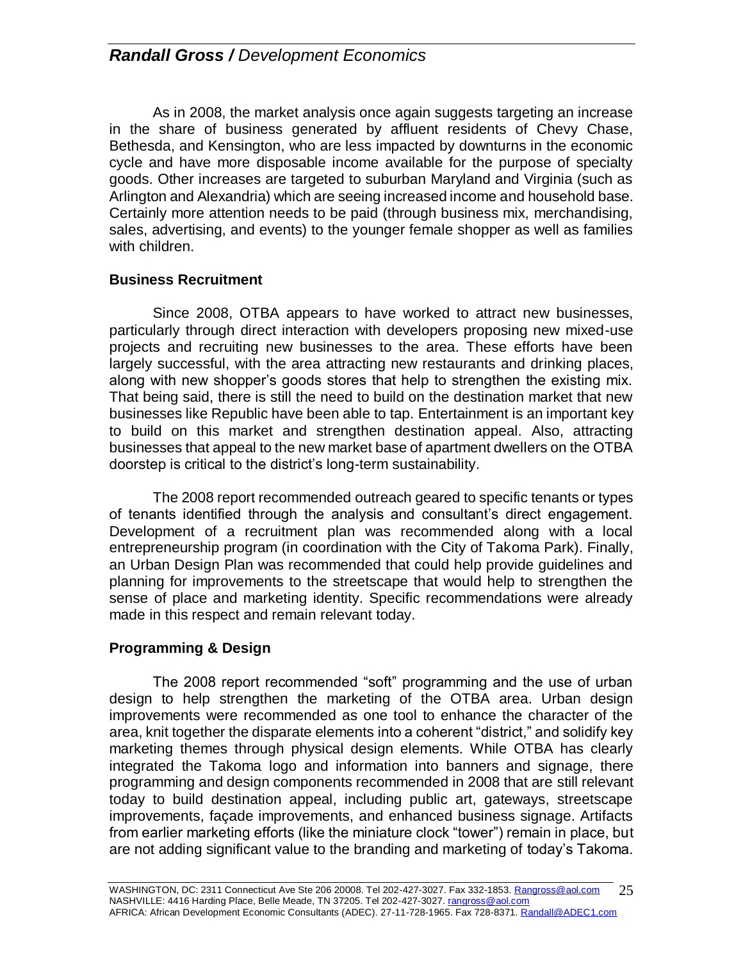As in 2008, the market analysis once again suggests targeting an increase in the share of business generated by affluent residents of Chevy Chase, Bethesda, and Kensington, who are less impacted by downturns in the economic cycle and have more disposable income available for the purpose of specialty goods. Other increases are targeted to suburban Maryland and Virginia (such as Arlington and Alexandria) which are seeing increased income and household base. Certainly more attention needs to be paid (through business mix, merchandising, sales, advertising, and events) to the younger female shopper as well as families with children.

### **Business Recruitment**

Since 2008, OTBA appears to have worked to attract new businesses, particularly through direct interaction with developers proposing new mixed-use projects and recruiting new businesses to the area. These efforts have been largely successful, with the area attracting new restaurants and drinking places, along with new shopper's goods stores that help to strengthen the existing mix. That being said, there is still the need to build on the destination market that new businesses like Republic have been able to tap. Entertainment is an important key to build on this market and strengthen destination appeal. Also, attracting businesses that appeal to the new market base of apartment dwellers on the OTBA doorstep is critical to the district's long-term sustainability.

The 2008 report recommended outreach geared to specific tenants or types of tenants identified through the analysis and consultant's direct engagement. Development of a recruitment plan was recommended along with a local entrepreneurship program (in coordination with the City of Takoma Park). Finally, an Urban Design Plan was recommended that could help provide guidelines and planning for improvements to the streetscape that would help to strengthen the sense of place and marketing identity. Specific recommendations were already made in this respect and remain relevant today.

### **Programming & Design**

The 2008 report recommended "soft" programming and the use of urban design to help strengthen the marketing of the OTBA area. Urban design improvements were recommended as one tool to enhance the character of the area, knit together the disparate elements into a coherent "district," and solidify key marketing themes through physical design elements. While OTBA has clearly integrated the Takoma logo and information into banners and signage, there programming and design components recommended in 2008 that are still relevant today to build destination appeal, including public art, gateways, streetscape improvements, façade improvements, and enhanced business signage. Artifacts from earlier marketing efforts (like the miniature clock "tower") remain in place, but are not adding significant value to the branding and marketing of today's Takoma.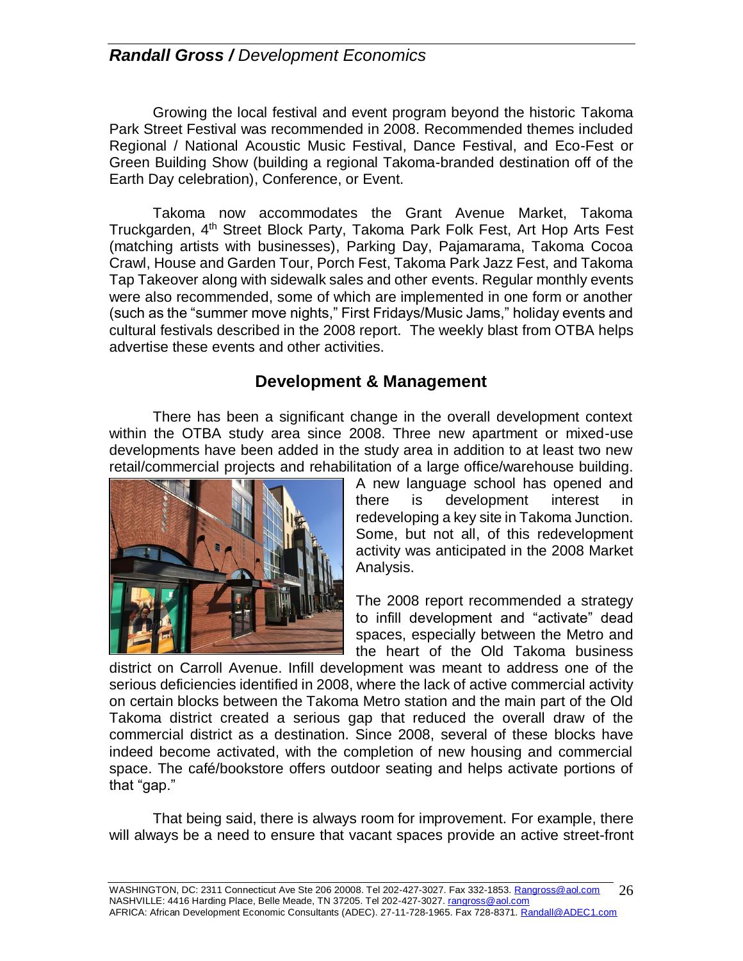Growing the local festival and event program beyond the historic Takoma Park Street Festival was recommended in 2008. Recommended themes included Regional / National Acoustic Music Festival, Dance Festival, and Eco-Fest or Green Building Show (building a regional Takoma-branded destination off of the Earth Day celebration), Conference, or Event.

Takoma now accommodates the Grant Avenue Market, Takoma Truckgarden, 4<sup>th</sup> Street Block Party, Takoma Park Folk Fest, Art Hop Arts Fest (matching artists with businesses), Parking Day, Pajamarama, Takoma Cocoa Crawl, House and Garden Tour, Porch Fest, Takoma Park Jazz Fest, and Takoma Tap Takeover along with sidewalk sales and other events. Regular monthly events were also recommended, some of which are implemented in one form or another (such as the "summer move nights," First Fridays/Music Jams," holiday events and cultural festivals described in the 2008 report. The weekly blast from OTBA helps advertise these events and other activities.

### **Development & Management**

There has been a significant change in the overall development context within the OTBA study area since 2008. Three new apartment or mixed-use developments have been added in the study area in addition to at least two new retail/commercial projects and rehabilitation of a large office/warehouse building.



A new language school has opened and there is development interest in redeveloping a key site in Takoma Junction. Some, but not all, of this redevelopment activity was anticipated in the 2008 Market Analysis.

The 2008 report recommended a strategy to infill development and "activate" dead spaces, especially between the Metro and the heart of the Old Takoma business

district on Carroll Avenue. Infill development was meant to address one of the serious deficiencies identified in 2008, where the lack of active commercial activity on certain blocks between the Takoma Metro station and the main part of the Old Takoma district created a serious gap that reduced the overall draw of the commercial district as a destination. Since 2008, several of these blocks have indeed become activated, with the completion of new housing and commercial space. The café/bookstore offers outdoor seating and helps activate portions of that "gap."

That being said, there is always room for improvement. For example, there will always be a need to ensure that vacant spaces provide an active street-front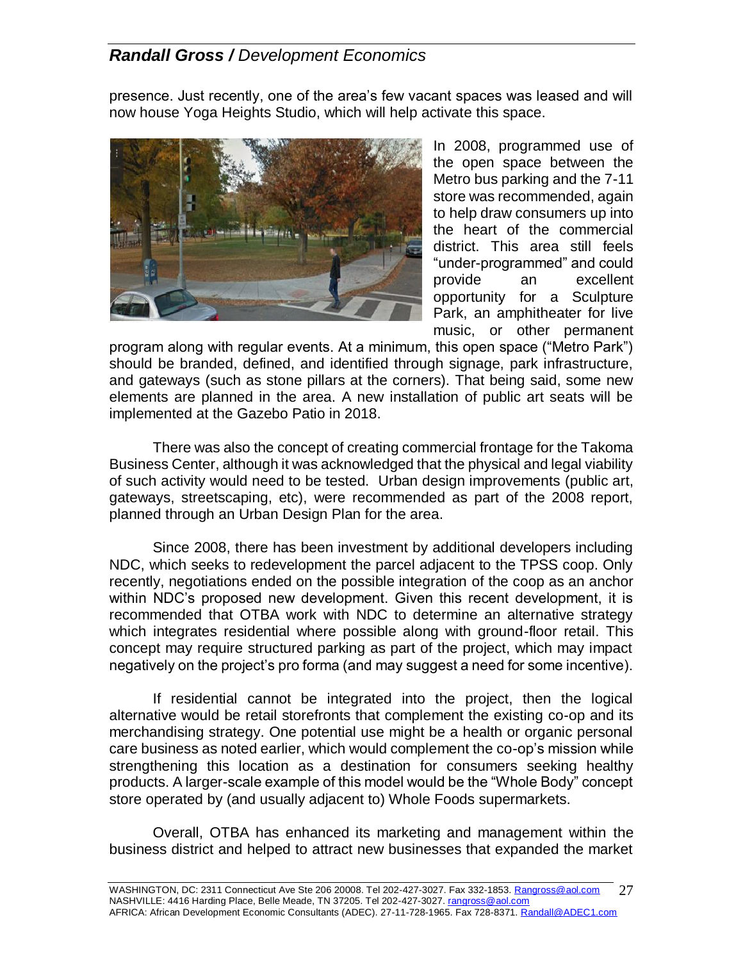presence. Just recently, one of the area's few vacant spaces was leased and will now house Yoga Heights Studio, which will help activate this space.



In 2008, programmed use of the open space between the Metro bus parking and the 7-11 store was recommended, again to help draw consumers up into the heart of the commercial district. This area still feels "under-programmed" and could provide an excellent opportunity for a Sculpture Park, an amphitheater for live music, or other permanent

program along with regular events. At a minimum, this open space ("Metro Park") should be branded, defined, and identified through signage, park infrastructure, and gateways (such as stone pillars at the corners). That being said, some new elements are planned in the area. A new installation of public art seats will be implemented at the Gazebo Patio in 2018.

There was also the concept of creating commercial frontage for the Takoma Business Center, although it was acknowledged that the physical and legal viability of such activity would need to be tested. Urban design improvements (public art, gateways, streetscaping, etc), were recommended as part of the 2008 report, planned through an Urban Design Plan for the area.

Since 2008, there has been investment by additional developers including NDC, which seeks to redevelopment the parcel adjacent to the TPSS coop. Only recently, negotiations ended on the possible integration of the coop as an anchor within NDC's proposed new development. Given this recent development, it is recommended that OTBA work with NDC to determine an alternative strategy which integrates residential where possible along with ground-floor retail. This concept may require structured parking as part of the project, which may impact negatively on the project's pro forma (and may suggest a need for some incentive).

If residential cannot be integrated into the project, then the logical alternative would be retail storefronts that complement the existing co-op and its merchandising strategy. One potential use might be a health or organic personal care business as noted earlier, which would complement the co-op's mission while strengthening this location as a destination for consumers seeking healthy products. A larger-scale example of this model would be the "Whole Body" concept store operated by (and usually adjacent to) Whole Foods supermarkets.

Overall, OTBA has enhanced its marketing and management within the business district and helped to attract new businesses that expanded the market